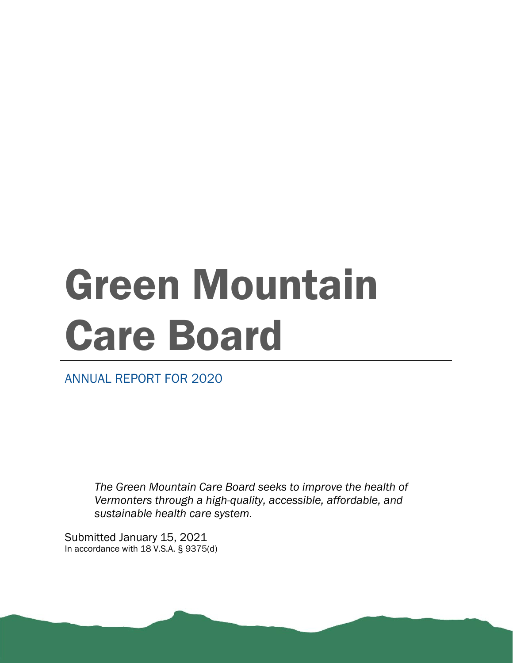# Green Mountain Care Board

ANNUAL REPORT FOR 2020

*The Green Mountain Care Board seeks to improve the health of Vermonters through a high-quality, accessible, affordable, and sustainable health care system.*

Submitted January 15, 2021 In accordance with 18 V.S.A. § 9375(d)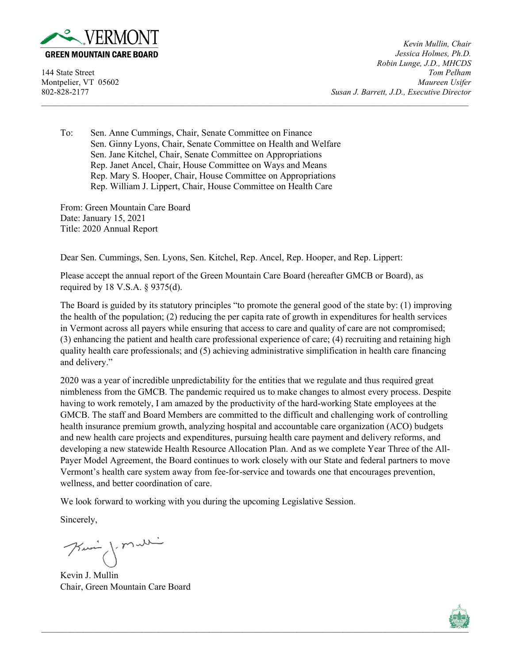

*Kevin Mullin, Chair Jessica Holmes, Ph.D. Robin Lunge, J.D., MHCDS* 144 State Street *Tom Pelham* Montpelier, VT 05602 *Maureen Usifer* 802-828-2177 *Susan J. Barrett, J.D., Executive Director*

To: Sen. Anne Cummings, Chair, Senate Committee on Finance Sen. Ginny Lyons, Chair, Senate Committee on Health and Welfare Sen. Jane Kitchel, Chair, Senate Committee on Appropriations Rep. Janet Ancel, Chair, House Committee on Ways and Means Rep. Mary S. Hooper, Chair, House Committee on Appropriations Rep. William J. Lippert, Chair, House Committee on Health Care

From: Green Mountain Care Board Date: January 15, 2021 Title: 2020 Annual Report

Dear Sen. Cummings, Sen. Lyons, Sen. Kitchel, Rep. Ancel, Rep. Hooper, and Rep. Lippert:

Please accept the annual report of the Green Mountain Care Board (hereafter GMCB or Board), as required by 18 V.S.A. § 9375(d).

The Board is guided by its statutory principles "to promote the general good of the state by: (1) improving the health of the population; (2) reducing the per capita rate of growth in expenditures for health services in Vermont across all payers while ensuring that access to care and quality of care are not compromised; (3) enhancing the patient and health care professional experience of care; (4) recruiting and retaining high quality health care professionals; and (5) achieving administrative simplification in health care financing and delivery."

 $\_$  , and the state of the state of the state of the state of the state of the state of the state of the state of the state of the state of the state of the state of the state of the state of the state of the state of the

2020 was a year of incredible unpredictability for the entities that we regulate and thus required great nimbleness from the GMCB. The pandemic required us to make changes to almost every process. Despite having to work remotely, I am amazed by the productivity of the hard-working State employees at the GMCB. The staff and Board Members are committed to the difficult and challenging work of controlling health insurance premium growth, analyzing hospital and accountable care organization (ACO) budgets and new health care projects and expenditures, pursuing health care payment and delivery reforms, and developing a new statewide Health Resource Allocation Plan. And as we complete Year Three of the All-Payer Model Agreement, the Board continues to work closely with our State and federal partners to move Vermont's health care system away from fee-for-service and towards one that encourages prevention, wellness, and better coordination of care.

We look forward to working with you during the upcoming Legislative Session.

Sincerely,

Kui jemalli

Kevin J. Mullin Chair, Green Mountain Care Board

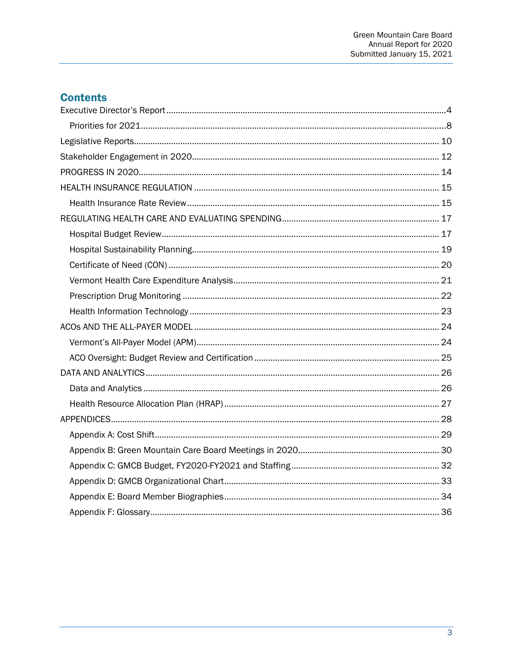# **Contents**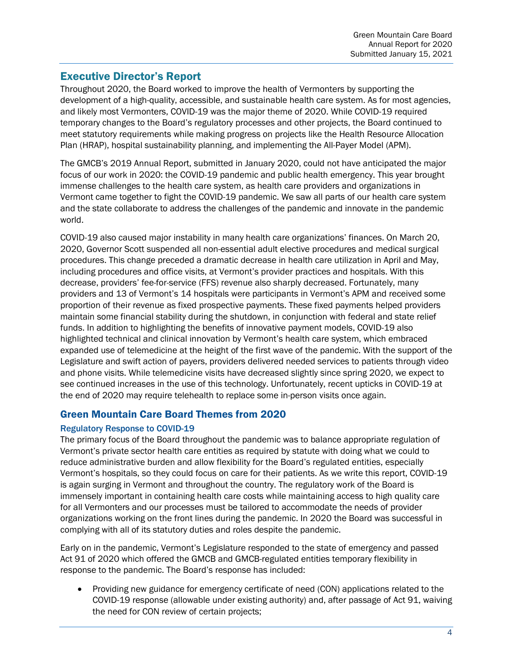# <span id="page-3-0"></span>Executive Director's Report

Throughout 2020, the Board worked to improve the health of Vermonters by supporting the development of a high-quality, accessible, and sustainable health care system. As for most agencies, and likely most Vermonters, COVID-19 was the major theme of 2020. While COVID-19 required temporary changes to the Board's regulatory processes and other projects, the Board continued to meet statutory requirements while making progress on projects like the Health Resource Allocation Plan (HRAP), hospital sustainability planning, and implementing the All-Payer Model (APM).

The GMCB's 2019 Annual Report, submitted in January 2020, could not have anticipated the major focus of our work in 2020: the COVID-19 pandemic and public health emergency. This year brought immense challenges to the health care system, as health care providers and organizations in Vermont came together to fight the COVID-19 pandemic. We saw all parts of our health care system and the state collaborate to address the challenges of the pandemic and innovate in the pandemic world.

COVID-19 also caused major instability in many health care organizations' finances. On March 20, 2020, Governor Scott suspended all non-essential adult elective procedures and medical surgical procedures. This change preceded a dramatic decrease in health care utilization in April and May, including procedures and office visits, at Vermont's provider practices and hospitals. With this decrease, providers' fee-for-service (FFS) revenue also sharply decreased. Fortunately, many providers and 13 of Vermont's 14 hospitals were participants in Vermont's APM and received some proportion of their revenue as fixed prospective payments. These fixed payments helped providers maintain some financial stability during the shutdown, in conjunction with federal and state relief funds. In addition to highlighting the benefits of innovative payment models, COVID-19 also highlighted technical and clinical innovation by Vermont's health care system, which embraced expanded use of telemedicine at the height of the first wave of the pandemic. With the support of the Legislature and swift action of payers, providers delivered needed services to patients through video and phone visits. While telemedicine visits have decreased slightly since spring 2020, we expect to see continued increases in the use of this technology. Unfortunately, recent upticks in COVID-19 at the end of 2020 may require telehealth to replace some in-person visits once again.

### Green Mountain Care Board Themes from 2020

#### Regulatory Response to COVID-19

The primary focus of the Board throughout the pandemic was to balance appropriate regulation of Vermont's private sector health care entities as required by statute with doing what we could to reduce administrative burden and allow flexibility for the Board's regulated entities, especially Vermont's hospitals, so they could focus on care for their patients. As we write this report, COVID-19 is again surging in Vermont and throughout the country. The regulatory work of the Board is immensely important in containing health care costs while maintaining access to high quality care for all Vermonters and our processes must be tailored to accommodate the needs of provider organizations working on the front lines during the pandemic. In 2020 the Board was successful in complying with all of its statutory duties and roles despite the pandemic.

Early on in the pandemic, Vermont's Legislature responded to the state of emergency and passed Act 91 of 2020 which offered the GMCB and GMCB-regulated entities temporary flexibility in response to the pandemic. The Board's response has included:

• Providing new guidance for emergency certificate of need (CON) applications related to the COVID-19 response (allowable under existing authority) and, after passage of Act 91, waiving the need for CON review of certain projects;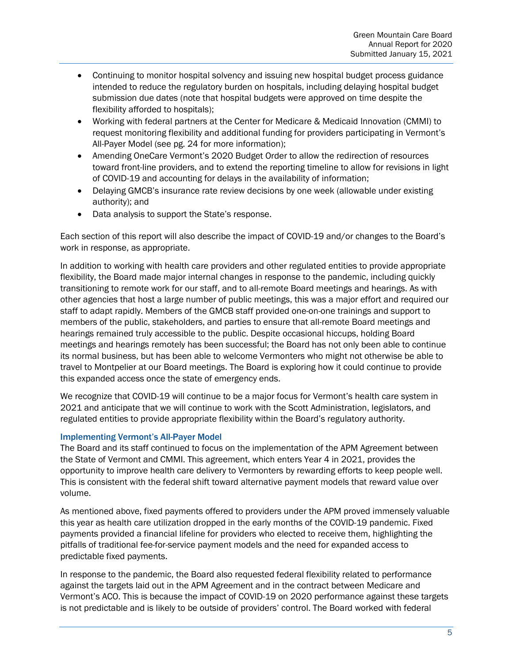- Continuing to monitor hospital solvency and issuing new hospital budget process guidance intended to reduce the regulatory burden on hospitals, including delaying hospital budget submission due dates (note that hospital budgets were approved on time despite the flexibility afforded to hospitals);
- Working with federal partners at the Center for Medicare & Medicaid Innovation (CMMI) to request monitoring flexibility and additional funding for providers participating in Vermont's All-Payer Model (see pg. 24 for more information);
- Amending OneCare Vermont's 2020 Budget Order to allow the redirection of resources toward front-line providers, and to extend the reporting timeline to allow for revisions in light of COVID-19 and accounting for delays in the availability of information;
- Delaying GMCB's insurance rate review decisions by one week (allowable under existing authority); and
- Data analysis to support the State's response.

Each section of this report will also describe the impact of COVID-19 and/or changes to the Board's work in response, as appropriate.

In addition to working with health care providers and other regulated entities to provide appropriate flexibility, the Board made major internal changes in response to the pandemic, including quickly transitioning to remote work for our staff, and to all-remote Board meetings and hearings. As with other agencies that host a large number of public meetings, this was a major effort and required our staff to adapt rapidly. Members of the GMCB staff provided one-on-one trainings and support to members of the public, stakeholders, and parties to ensure that all-remote Board meetings and hearings remained truly accessible to the public. Despite occasional hiccups, holding Board meetings and hearings remotely has been successful; the Board has not only been able to continue its normal business, but has been able to welcome Vermonters who might not otherwise be able to travel to Montpelier at our Board meetings. The Board is exploring how it could continue to provide this expanded access once the state of emergency ends.

We recognize that COVID-19 will continue to be a major focus for Vermont's health care system in 2021 and anticipate that we will continue to work with the Scott Administration, legislators, and regulated entities to provide appropriate flexibility within the Board's regulatory authority.

#### Implementing Vermont's All-Payer Model

The Board and its staff continued to focus on the implementation of the APM Agreement between the State of Vermont and CMMI. This agreement, which enters Year 4 in 2021, provides the opportunity to improve health care delivery to Vermonters by rewarding efforts to keep people well. This is consistent with the federal shift toward alternative payment models that reward value over volume.

As mentioned above, fixed payments offered to providers under the APM proved immensely valuable this year as health care utilization dropped in the early months of the COVID-19 pandemic. Fixed payments provided a financial lifeline for providers who elected to receive them, highlighting the pitfalls of traditional fee-for-service payment models and the need for expanded access to predictable fixed payments.

In response to the pandemic, the Board also requested federal flexibility related to performance against the targets laid out in the APM Agreement and in the contract between Medicare and Vermont's ACO. This is because the impact of COVID-19 on 2020 performance against these targets is not predictable and is likely to be outside of providers' control. The Board worked with federal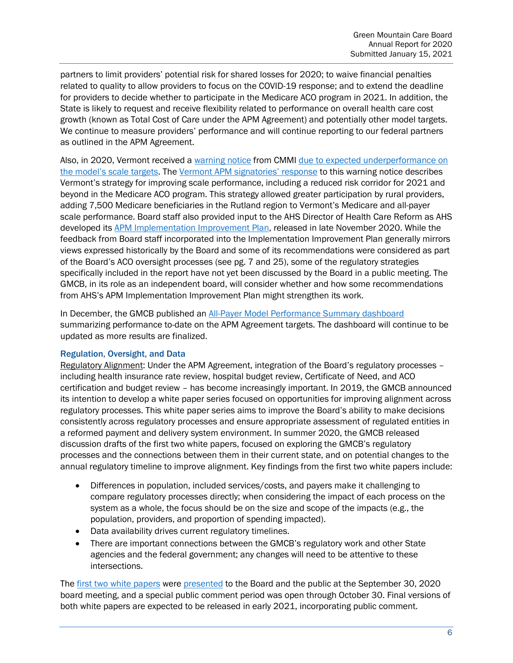partners to limit providers' potential risk for shared losses for 2020; to waive financial penalties related to quality to allow providers to focus on the COVID-19 response; and to extend the deadline for providers to decide whether to participate in the Medicare ACO program in 2021. In addition, the State is likely to request and receive flexibility related to performance on overall health care cost growth (known as Total Cost of Care under the APM Agreement) and potentially other model targets. We continue to measure providers' performance and will continue reporting to our federal partners as outlined in the APM Agreement.

Also, in 2020, Vermont received a [warning notice](https://gmcboard.vermont.gov/sites/gmcb/files/documents/VT%20State%20Agreement%20Scale%20Warning%20Notice_final_sig_0.pdf) from CMMI due to expected underperformance on [the model's scale targets.](https://gmcboard.vermont.gov/sites/gmcb/files/documents/payment-reform/PY2%20Annual%20ACO%20Scale%20Targets%20and%20Alignment%20Report_FINAL2.pdf) The [Vermont APM signatories'](https://gmcboard.vermont.gov/sites/gmcb/files/documents/Vermont%20Response%20to%20Scale%20Target%20Warning%20Letter%2012.11.20.pdf) response to this warning notice describes Vermont's strategy for improving scale performance, including a reduced risk corridor for 2021 and beyond in the Medicare ACO program. This strategy allowed greater participation by rural providers, adding 7,500 Medicare beneficiaries in the Rutland region to Vermont's Medicare and all-payer scale performance. Board staff also provided input to the AHS Director of Health Care Reform as AHS developed it[s APM Implementation Improvement Plan,](https://gmcboard.vermont.gov/sites/gmcb/files/documents/APM%20Implementation%20Improvement%20Plan%20Final%2011.19.20.pdf) released in late November 2020. While the feedback from Board staff incorporated into the Implementation Improvement Plan generally mirrors views expressed historically by the Board and some of its recommendations were considered as part of the Board's ACO oversight processes (see pg. 7 and 25), some of the regulatory strategies specifically included in the report have not yet been discussed by the Board in a public meeting. The GMCB, in its role as an independent board, will consider whether and how some recommendations from AHS's APM Implementation Improvement Plan might strengthen its work.

In December, the GMCB published an [All-Payer Model Performance Summary dashboard](https://public.tableau.com/profile/state.of.vermont#!/vizhome/apm_targets_exec_e_laptop_pubtest_16027945477830/APMPerformanceYearOne) summarizing performance to-date on the APM Agreement targets. The dashboard will continue to be updated as more results are finalized.

#### Regulation, Oversight, and Data

Regulatory Alignment: Under the APM Agreement, integration of the Board's regulatory processes – including health insurance rate review, hospital budget review, Certificate of Need, and ACO certification and budget review – has become increasingly important. In 2019, the GMCB announced its intention to develop a white paper series focused on opportunities for improving alignment across regulatory processes. This white paper series aims to improve the Board's ability to make decisions consistently across regulatory processes and ensure appropriate assessment of regulated entities in a reformed payment and delivery system environment. In summer 2020, the GMCB released discussion drafts of the first two white papers, focused on exploring the GMCB's regulatory processes and the connections between them in their current state, and on potential changes to the annual regulatory timeline to improve alignment. Key findings from the first two white papers include:

- Differences in population, included services/costs, and payers make it challenging to compare regulatory processes directly; when considering the impact of each process on the system as a whole, the focus should be on the size and scope of the impacts (e.g., the population, providers, and proportion of spending impacted).
- Data availability drives current regulatory timelines.
- There are important connections between the GMCB's regulatory work and other State agencies and the federal government; any changes will need to be attentive to these intersections.

The [first two white papers](https://gmcboard.vermont.gov/regulatory-alignment) were [presented](https://gmcboard.vermont.gov/sites/gmcb/files/documents/GMCB%20Regulatory%20Alignment%209.30.20.pdf) to the Board and the public at the September 30, 2020 board meeting, and a special public comment period was open through October 30. Final versions of both white papers are expected to be released in early 2021, incorporating public comment.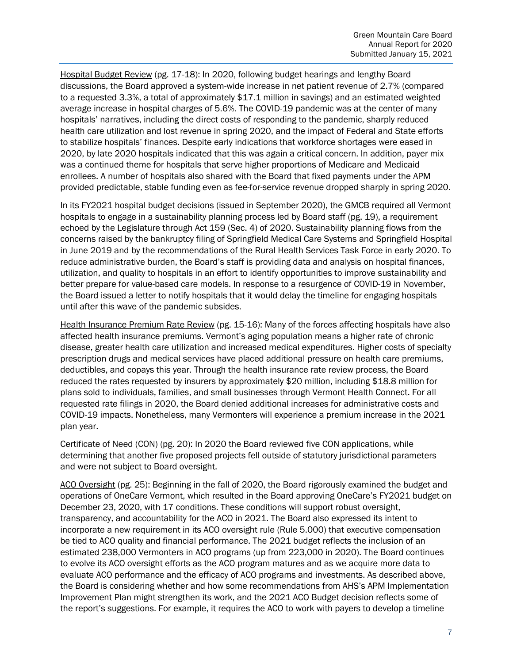Hospital Budget Review (pg. 17-18): In 2020, following budget hearings and lengthy Board discussions, the Board approved a system-wide increase in net patient revenue of 2.7% (compared to a requested 3.3%, a total of approximately \$17.1 million in savings) and an estimated weighted average increase in hospital charges of 5.6%. The COVID-19 pandemic was at the center of many hospitals' narratives, including the direct costs of responding to the pandemic, sharply reduced health care utilization and lost revenue in spring 2020, and the impact of Federal and State efforts to stabilize hospitals' finances. Despite early indications that workforce shortages were eased in 2020, by late 2020 hospitals indicated that this was again a critical concern. In addition, payer mix was a continued theme for hospitals that serve higher proportions of Medicare and Medicaid enrollees. A number of hospitals also shared with the Board that fixed payments under the APM provided predictable, stable funding even as fee-for-service revenue dropped sharply in spring 2020.

In its FY2021 hospital budget decisions (issued in September 2020), the GMCB required all Vermont hospitals to engage in a sustainability planning process led by Board staff (pg. 19), a requirement echoed by the Legislature through Act 159 (Sec. 4) of 2020. Sustainability planning flows from the concerns raised by the bankruptcy filing of Springfield Medical Care Systems and Springfield Hospital in June 2019 and by the recommendations of the Rural Health Services Task Force in early 2020. To reduce administrative burden, the Board's staff is providing data and analysis on hospital finances, utilization, and quality to hospitals in an effort to identify opportunities to improve sustainability and better prepare for value-based care models. In response to a resurgence of COVID-19 in November, the Board issued a letter to notify hospitals that it would delay the timeline for engaging hospitals until after this wave of the pandemic subsides.

Health Insurance Premium Rate Review (pg. 15-16): Many of the forces affecting hospitals have also affected health insurance premiums. Vermont's aging population means a higher rate of chronic disease, greater health care utilization and increased medical expenditures. Higher costs of specialty prescription drugs and medical services have placed additional pressure on health care premiums, deductibles, and copays this year. Through the health insurance rate review process, the Board reduced the rates requested by insurers by approximately \$20 million, including \$18.8 million for plans sold to individuals, families, and small businesses through Vermont Health Connect. For all requested rate filings in 2020, the Board denied additional increases for administrative costs and COVID-19 impacts. Nonetheless, many Vermonters will experience a premium increase in the 2021 plan year.

Certificate of Need (CON) (pg. 20): In 2020 the Board reviewed five CON applications, while determining that another five proposed projects fell outside of statutory jurisdictional parameters and were not subject to Board oversight.

ACO Oversight (pg. 25): Beginning in the fall of 2020, the Board rigorously examined the budget and operations of OneCare Vermont, which resulted in the Board approving OneCare's FY2021 budget on December 23, 2020, with 17 conditions. These conditions will support robust oversight, transparency, and accountability for the ACO in 2021. The Board also expressed its intent to incorporate a new requirement in its ACO oversight rule (Rule 5.000) that executive compensation be tied to ACO quality and financial performance. The 2021 budget reflects the inclusion of an estimated 238,000 Vermonters in ACO programs (up from 223,000 in 2020). The Board continues to evolve its ACO oversight efforts as the ACO program matures and as we acquire more data to evaluate ACO performance and the efficacy of ACO programs and investments. As described above, the Board is considering whether and how some recommendations from AHS's APM Implementation Improvement Plan might strengthen its work, and the 2021 ACO Budget decision reflects some of the report's suggestions. For example, it requires the ACO to work with payers to develop a timeline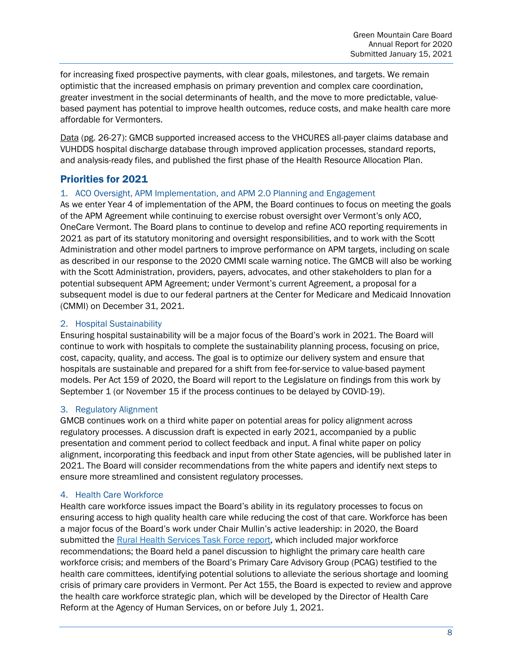for increasing fixed prospective payments, with clear goals, milestones, and targets. We remain optimistic that the increased emphasis on primary prevention and complex care coordination, greater investment in the social determinants of health, and the move to more predictable, valuebased payment has potential to improve health outcomes, reduce costs, and make health care more affordable for Vermonters.

Data (pg. 26-27): GMCB supported increased access to the VHCURES all-payer claims database and VUHDDS hospital discharge database through improved application processes, standard reports, and analysis-ready files, and published the first phase of the Health Resource Allocation Plan.

# <span id="page-7-0"></span>Priorities for 2021

#### 1. ACO Oversight, APM Implementation, and APM 2.0 Planning and Engagement

As we enter Year 4 of implementation of the APM, the Board continues to focus on meeting the goals of the APM Agreement while continuing to exercise robust oversight over Vermont's only ACO, OneCare Vermont. The Board plans to continue to develop and refine ACO reporting requirements in 2021 as part of its statutory monitoring and oversight responsibilities, and to work with the Scott Administration and other model partners to improve performance on APM targets, including on scale as described in our response to the 2020 CMMI scale warning notice. The GMCB will also be working with the Scott Administration, providers, payers, advocates, and other stakeholders to plan for a potential subsequent APM Agreement; under Vermont's current Agreement, a proposal for a subsequent model is due to our federal partners at the Center for Medicare and Medicaid Innovation (CMMI) on December 31, 2021.

#### 2. Hospital Sustainability

Ensuring hospital sustainability will be a major focus of the Board's work in 2021. The Board will continue to work with hospitals to complete the sustainability planning process, focusing on price, cost, capacity, quality, and access. The goal is to optimize our delivery system and ensure that hospitals are sustainable and prepared for a shift from fee-for-service to value-based payment models. Per Act 159 of 2020, the Board will report to the Legislature on findings from this work by September 1 (or November 15 if the process continues to be delayed by COVID-19).

#### 3. Regulatory Alignment

GMCB continues work on a third white paper on potential areas for policy alignment across regulatory processes. A discussion draft is expected in early 2021, accompanied by a public presentation and comment period to collect feedback and input. A final white paper on policy alignment, incorporating this feedback and input from other State agencies, will be published later in 2021. The Board will consider recommendations from the white papers and identify next steps to ensure more streamlined and consistent regulatory processes.

#### 4. Health Care Workforce

Health care workforce issues impact the Board's ability in its regulatory processes to focus on ensuring access to high quality health care while reducing the cost of that care. Workforce has been a major focus of the Board's work under Chair Mullin's active leadership: in 2020, the Board submitted the [Rural Health Services Task Force report,](https://legislature.vermont.gov/assets/Legislative-Reports/Rural-Health-Services-Task-Force-Act-26-of-2019-Report-Recommendations.pdf) which included major workforce recommendations; the Board held a panel discussion to highlight the primary care health care workforce crisis; and members of the Board's Primary Care Advisory Group (PCAG) testified to the health care committees, identifying potential solutions to alleviate the serious shortage and looming crisis of primary care providers in Vermont. Per Act 155, the Board is expected to review and approve the health care workforce strategic plan, which will be developed by the Director of Health Care Reform at the Agency of Human Services, on or before July 1, 2021.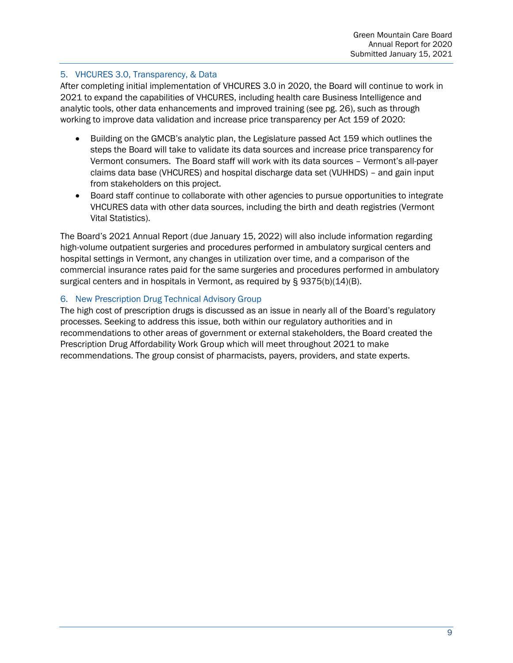#### 5. VHCURES 3.0, Transparency, & Data

After completing initial implementation of VHCURES 3.0 in 2020, the Board will continue to work in 2021 to expand the capabilities of VHCURES, including health care Business Intelligence and analytic tools, other data enhancements and improved training (see pg. 26), such as through working to improve data validation and increase price transparency per Act 159 of 2020:

- Building on the GMCB's analytic plan, the Legislature passed Act 159 which outlines the steps the Board will take to validate its data sources and increase price transparency for Vermont consumers. The Board staff will work with its data sources – Vermont's all-payer claims data base (VHCURES) and hospital discharge data set (VUHHDS) – and gain input from stakeholders on this project.
- Board staff continue to collaborate with other agencies to pursue opportunities to integrate VHCURES data with other data sources, including the birth and death registries (Vermont Vital Statistics).

The Board's 2021 Annual Report (due January 15, 2022) will also include information regarding high-volume outpatient surgeries and procedures performed in ambulatory surgical centers and hospital settings in Vermont, any changes in utilization over time, and a comparison of the commercial insurance rates paid for the same surgeries and procedures performed in ambulatory surgical centers and in hospitals in Vermont, as required by § 9375(b)(14)(B).

#### 6. New Prescription Drug Technical Advisory Group

The high cost of prescription drugs is discussed as an issue in nearly all of the Board's regulatory processes. Seeking to address this issue, both within our regulatory authorities and in recommendations to other areas of government or external stakeholders, the Board created the Prescription Drug Affordability Work Group which will meet throughout 2021 to make recommendations. The group consist of pharmacists, payers, providers, and state experts.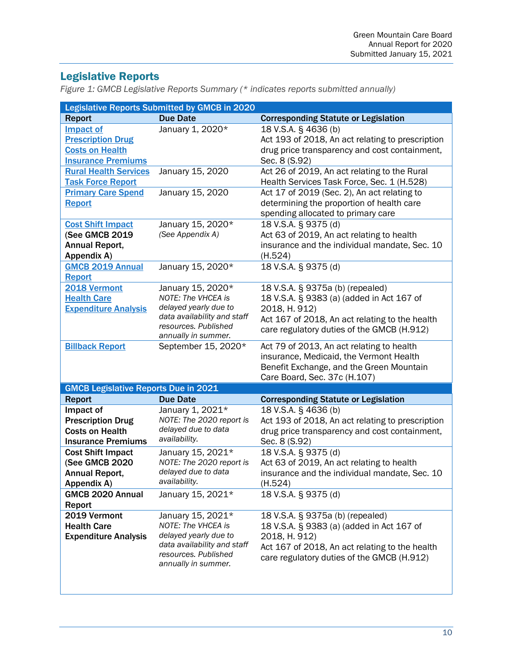# <span id="page-9-0"></span>Legislative Reports

*Figure 1: GMCB Legislative Reports Summary (\* indicates reports submitted annually)*

|                                             | <b>Legislative Reports Submitted by GMCB in 2020</b> |                                                          |
|---------------------------------------------|------------------------------------------------------|----------------------------------------------------------|
| <b>Report</b>                               | <b>Due Date</b>                                      | <b>Corresponding Statute or Legislation</b>              |
| <b>Impact of</b>                            | January 1, 2020*                                     | 18 V.S.A. § 4636 (b)                                     |
| <b>Prescription Drug</b>                    |                                                      | Act 193 of 2018, An act relating to prescription         |
| <b>Costs on Health</b>                      |                                                      | drug price transparency and cost containment,            |
| <b>Insurance Premiums</b>                   |                                                      | Sec. 8 (S.92)                                            |
| <b>Rural Health Services</b>                | January 15, 2020                                     | Act 26 of 2019, An act relating to the Rural             |
| <b>Task Force Report</b>                    |                                                      | Health Services Task Force, Sec. 1 (H.528)               |
| <b>Primary Care Spend</b>                   | January 15, 2020                                     | Act 17 of 2019 (Sec. 2), An act relating to              |
| <b>Report</b>                               |                                                      | determining the proportion of health care                |
|                                             |                                                      | spending allocated to primary care                       |
| <b>Cost Shift Impact</b>                    | January 15, 2020*                                    | 18 V.S.A. § 9375 (d)                                     |
| (See GMCB 2019                              | (See Appendix A)                                     | Act 63 of 2019, An act relating to health                |
| Annual Report,                              |                                                      | insurance and the individual mandate, Sec. 10            |
| Appendix A)                                 |                                                      | (H.524)                                                  |
| <b>GMCB 2019 Annual</b>                     | January 15, 2020*                                    | 18 V.S.A. § 9375 (d)                                     |
| <b>Report</b>                               |                                                      |                                                          |
| 2018 Vermont                                | January 15, 2020*                                    | 18 V.S.A. § 9375a (b) (repealed)                         |
| <b>Health Care</b>                          | NOTE: The VHCEA is                                   | 18 V.S.A. § 9383 (a) (added in Act 167 of                |
| <b>Expenditure Analysis</b>                 | delayed yearly due to                                | 2018, H. 912)                                            |
|                                             | data availability and staff                          | Act 167 of 2018, An act relating to the health           |
|                                             | resources. Published<br>annually in summer.          | care regulatory duties of the GMCB (H.912)               |
| <b>Billback Report</b>                      | September 15, 2020*                                  | Act 79 of 2013, An act relating to health                |
|                                             |                                                      | insurance, Medicaid, the Vermont Health                  |
|                                             |                                                      | Benefit Exchange, and the Green Mountain                 |
|                                             |                                                      | Care Board, Sec. 37c (H.107)                             |
| <b>GMCB Legislative Reports Due in 2021</b> |                                                      |                                                          |
| <b>Report</b>                               | <b>Due Date</b>                                      | <b>Corresponding Statute or Legislation</b>              |
| Impact of                                   | January 1, 2021*                                     | 18 V.S.A. § 4636 (b)                                     |
| <b>Prescription Drug</b>                    | NOTE: The 2020 report is                             | Act 193 of 2018, An act relating to prescription         |
| <b>Costs on Health</b>                      | delayed due to data                                  | drug price transparency and cost containment,            |
|                                             |                                                      |                                                          |
|                                             | availability.                                        |                                                          |
| <b>Insurance Premiums</b>                   |                                                      | Sec. 8 (S.92)                                            |
| <b>Cost Shift Impact</b>                    | January 15, 2021*<br>NOTE: The 2020 report is        | 18 V.S.A. § 9375 (d)                                     |
| (See GMCB 2020                              | delayed due to data                                  | Act 63 of 2019, An act relating to health                |
| Annual Report,<br>Appendix A)               | availability.                                        | insurance and the individual mandate, Sec. 10<br>(H.524) |
| <b>GMCB 2020 Annual</b>                     | January 15, 2021*                                    | 18 V.S.A. § 9375 (d)                                     |
| Report                                      |                                                      |                                                          |
| 2019 Vermont                                | January 15, 2021*                                    | 18 V.S.A. § 9375a (b) (repealed)                         |
| <b>Health Care</b>                          | <b>NOTE: The VHCEA is</b>                            | 18 V.S.A. § 9383 (a) (added in Act 167 of                |
| <b>Expenditure Analysis</b>                 | delayed yearly due to                                | 2018, H. 912)                                            |
|                                             | data availability and staff                          | Act 167 of 2018, An act relating to the health           |
|                                             | resources. Published                                 | care regulatory duties of the GMCB (H.912)               |
|                                             | annually in summer.                                  |                                                          |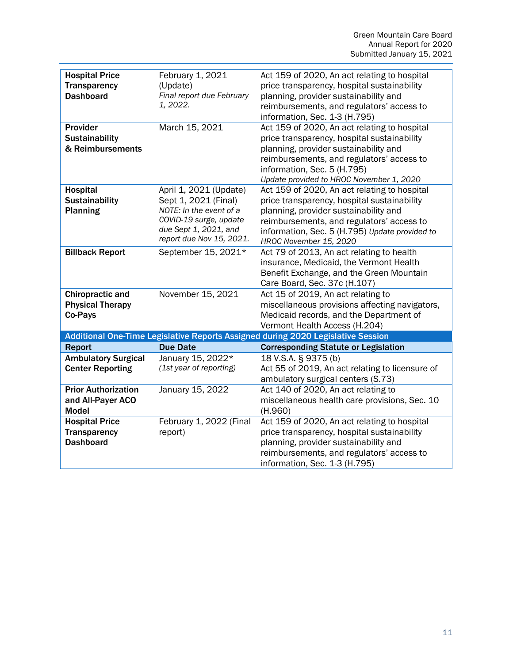| <b>Hospital Price</b><br><b>Transparency</b><br><b>Dashboard</b> | February 1, 2021<br>(Update)<br>Final report due February<br>1, 2022.                                                                                    | Act 159 of 2020, An act relating to hospital<br>price transparency, hospital sustainability<br>planning, provider sustainability and<br>reimbursements, and regulators' access to<br>information, Sec. 1-3 (H.795)                                            |
|------------------------------------------------------------------|----------------------------------------------------------------------------------------------------------------------------------------------------------|---------------------------------------------------------------------------------------------------------------------------------------------------------------------------------------------------------------------------------------------------------------|
| Provider<br><b>Sustainability</b><br>& Reimbursements            | March 15, 2021                                                                                                                                           | Act 159 of 2020, An act relating to hospital<br>price transparency, hospital sustainability<br>planning, provider sustainability and<br>reimbursements, and regulators' access to<br>information, Sec. 5 (H.795)<br>Update provided to HROC November 1, 2020  |
| Hospital<br>Sustainability<br><b>Planning</b>                    | April 1, 2021 (Update)<br>Sept 1, 2021 (Final)<br>NOTE: In the event of a<br>COVID-19 surge, update<br>due Sept 1, 2021, and<br>report due Nov 15, 2021. | Act 159 of 2020, An act relating to hospital<br>price transparency, hospital sustainability<br>planning, provider sustainability and<br>reimbursements, and regulators' access to<br>information, Sec. 5 (H.795) Update provided to<br>HROC November 15, 2020 |
| <b>Billback Report</b>                                           | September 15, 2021*                                                                                                                                      | Act 79 of 2013, An act relating to health<br>insurance, Medicaid, the Vermont Health<br>Benefit Exchange, and the Green Mountain<br>Care Board, Sec. 37c (H.107)                                                                                              |
| <b>Chiropractic and</b><br><b>Physical Therapy</b><br>Co-Pays    | November 15, 2021                                                                                                                                        | Act 15 of 2019, An act relating to<br>miscellaneous provisions affecting navigators,<br>Medicaid records, and the Department of<br>Vermont Health Access (H.204)                                                                                              |
|                                                                  |                                                                                                                                                          | Additional One-Time Legislative Reports Assigned during 2020 Legislative Session                                                                                                                                                                              |
| <b>Report</b>                                                    | <b>Due Date</b>                                                                                                                                          | <b>Corresponding Statute or Legislation</b>                                                                                                                                                                                                                   |
| <b>Ambulatory Surgical</b><br><b>Center Reporting</b>            | January 15, 2022*<br>(1st year of reporting)                                                                                                             | 18 V.S.A. § 9375 (b)<br>Act 55 of 2019, An act relating to licensure of<br>ambulatory surgical centers (S.73)                                                                                                                                                 |
| <b>Prior Authorization</b><br>and All-Payer ACO<br><b>Model</b>  | January 15, 2022                                                                                                                                         | Act 140 of 2020, An act relating to<br>miscellaneous health care provisions, Sec. 10<br>(H.960)                                                                                                                                                               |
| <b>Hospital Price</b><br><b>Transparency</b><br><b>Dashboard</b> | February 1, 2022 (Final<br>report)                                                                                                                       | Act 159 of 2020, An act relating to hospital<br>price transparency, hospital sustainability<br>planning, provider sustainability and<br>reimbursements, and regulators' access to<br>information, Sec. 1-3 (H.795)                                            |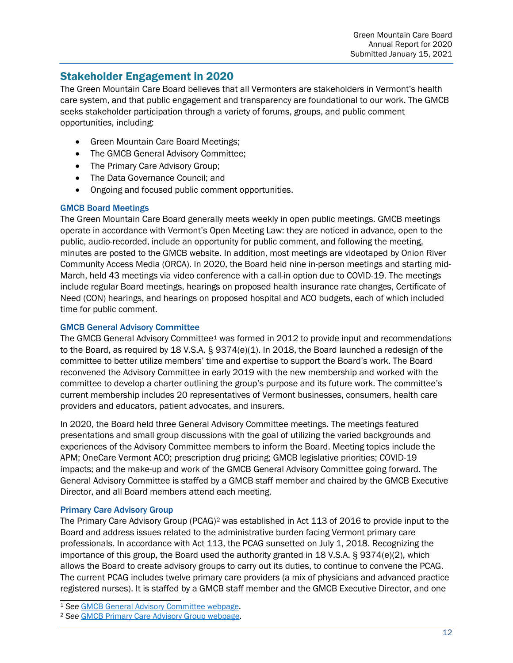# <span id="page-11-0"></span>Stakeholder Engagement in 2020

The Green Mountain Care Board believes that all Vermonters are stakeholders in Vermont's health care system, and that public engagement and transparency are foundational to our work. The GMCB seeks stakeholder participation through a variety of forums, groups, and public comment opportunities, including:

- Green Mountain Care Board Meetings;
- The GMCB General Advisory Committee;
- The Primary Care Advisory Group;
- The Data Governance Council; and
- Ongoing and focused public comment opportunities.

#### GMCB Board Meetings

The Green Mountain Care Board generally meets weekly in open public meetings. GMCB meetings operate in accordance with Vermont's Open Meeting Law: they are noticed in advance, open to the public, audio-recorded, include an opportunity for public comment, and following the meeting, minutes are posted to the GMCB website. In addition, most meetings are videotaped by Onion River Community Access Media (ORCA). In 2020, the Board held nine in-person meetings and starting mid-March, held 43 meetings via video conference with a call-in option due to COVID-19. The meetings include regular Board meetings, hearings on proposed health insurance rate changes, Certificate of Need (CON) hearings, and hearings on proposed hospital and ACO budgets, each of which included time for public comment.

#### GMCB General Advisory Committee

The GMCB General Advisory Committee<sup>[1](#page-11-1)</sup> was formed in 2012 to provide input and recommendations to the Board, as required by 18 V.S.A. § 9374(e)(1). In 2018, the Board launched a redesign of the committee to better utilize members' time and expertise to support the Board's work. The Board reconvened the Advisory Committee in early 2019 with the new membership and worked with the committee to develop a charter outlining the group's purpose and its future work. The committee's current membership includes 20 representatives of Vermont businesses, consumers, health care providers and educators, patient advocates, and insurers.

In 2020, the Board held three General Advisory Committee meetings. The meetings featured presentations and small group discussions with the goal of utilizing the varied backgrounds and experiences of the Advisory Committee members to inform the Board. Meeting topics include the APM; OneCare Vermont ACO; prescription drug pricing; GMCB legislative priorities; COVID-19 impacts; and the make-up and work of the GMCB General Advisory Committee going forward. The General Advisory Committee is staffed by a GMCB staff member and chaired by the GMCB Executive Director, and all Board members attend each meeting.

#### Primary Care Advisory Group

The Primary Care Advisory Group (PCAG)[2](#page-11-2) was established in Act 113 of 2016 to provide input to the Board and address issues related to the administrative burden facing Vermont primary care professionals. In accordance with Act 113, the PCAG sunsetted on July 1, 2018. Recognizing the importance of this group, the Board used the authority granted in 18 V.S.A.  $\S$  9374(e)(2), which allows the Board to create advisory groups to carry out its duties, to continue to convene the PCAG. The current PCAG includes twelve primary care providers (a mix of physicians and advanced practice registered nurses). It is staffed by a GMCB staff member and the GMCB Executive Director, and one

<span id="page-11-1"></span><sup>1</sup> *See* [GMCB General Advisory Committee webpage.](http://gmcboard.vermont.gov/board/advisory-committee) 2 *See* GMCB Primary Care Advisory Group webpage.

<span id="page-11-2"></span>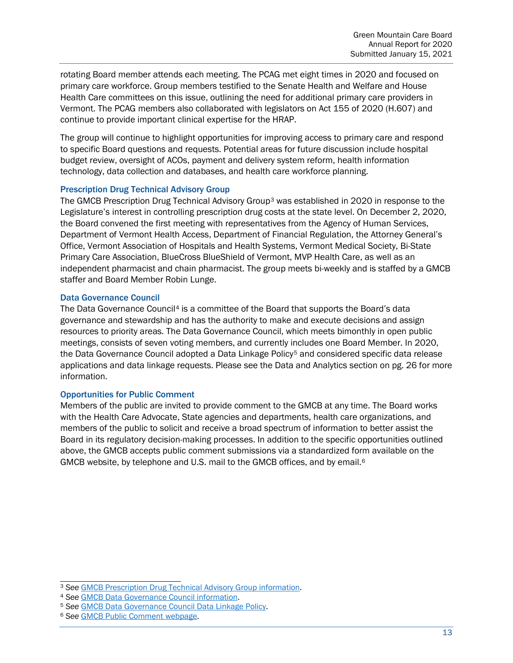rotating Board member attends each meeting. The PCAG met eight times in 2020 and focused on primary care workforce. Group members testified to the Senate Health and Welfare and House Health Care committees on this issue, outlining the need for additional primary care providers in Vermont. The PCAG members also collaborated with legislators on Act 155 of 2020 (H.607) and continue to provide important clinical expertise for the HRAP.

The group will continue to highlight opportunities for improving access to primary care and respond to specific Board questions and requests. Potential areas for future discussion include hospital budget review, oversight of ACOs, payment and delivery system reform, health information technology, data collection and databases, and health care workforce planning.

#### Prescription Drug Technical Advisory Group

The GMCB Prescription Drug Technical Advisory Group[3](#page-12-0) was established in 2020 in response to the Legislature's interest in controlling prescription drug costs at the state level. On December 2, 2020, the Board convened the first meeting with representatives from the Agency of Human Services, Department of Vermont Health Access, Department of Financial Regulation, the Attorney General's Office, Vermont Association of Hospitals and Health Systems, Vermont Medical Society, Bi-State Primary Care Association, BlueCross BlueShield of Vermont, MVP Health Care, as well as an independent pharmacist and chain pharmacist. The group meets bi-weekly and is staffed by a GMCB staffer and Board Member Robin Lunge.

#### Data Governance Council

The Data Governance Council<sup>[4](#page-12-1)</sup> is a committee of the Board that supports the Board's data governance and stewardship and has the authority to make and execute decisions and assign resources to priority areas. The Data Governance Council, which meets bimonthly in open public meetings, consists of seven voting members, and currently includes one Board Member. In 2020, the Data Governance Council adopted a Data Linkage Policy<sup>[5](#page-12-2)</sup> and considered specific data release applications and data linkage requests. Please see the Data and Analytics section on pg. 26 for more information.

#### Opportunities for Public Comment

Members of the public are invited to provide comment to the GMCB at any time. The Board works with the Health Care Advocate, State agencies and departments, health care organizations, and members of the public to solicit and receive a broad spectrum of information to better assist the Board in its regulatory decision-making processes. In addition to the specific opportunities outlined above, the GMCB accepts public comment submissions via a standardized form available on the GMCB website, by telephone and U.S. mail to the GMCB offices, and by email.<sup>[6](#page-12-3)</sup>

<span id="page-12-0"></span><sup>3</sup> *See* [GMCB Prescription Drug Technical Advisory Group information.](https://gmcboard.vermont.gov/prescription-drug-technical-advisory-group) 4 *See* GMCB Data Governance Council information.

<span id="page-12-1"></span>

<span id="page-12-2"></span><sup>5</sup> *See* [GMCB Data Governance Council Data Linkage Policy.](https://gmcboard.vermont.gov/sites/gmcb/files/documents/DGC_Policy_DataLinkage_20200814.pdf)

<span id="page-12-3"></span><sup>6</sup> *See* GMCB [Public Comment webpage.](https://gmcboard.vermont.gov/board/comment)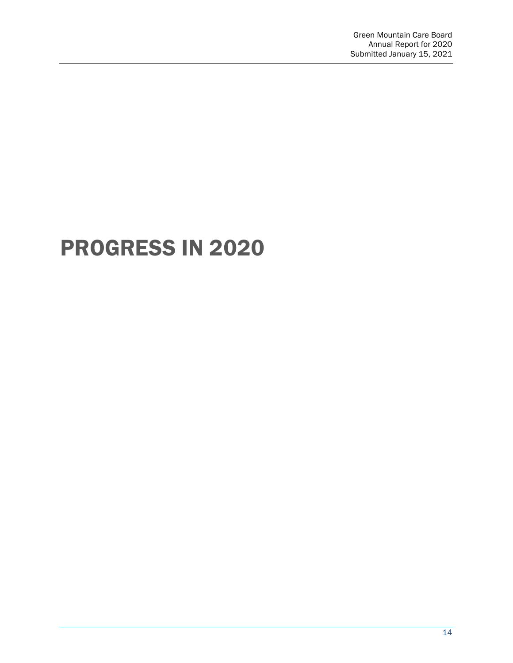# <span id="page-13-0"></span>PROGRESS IN 2020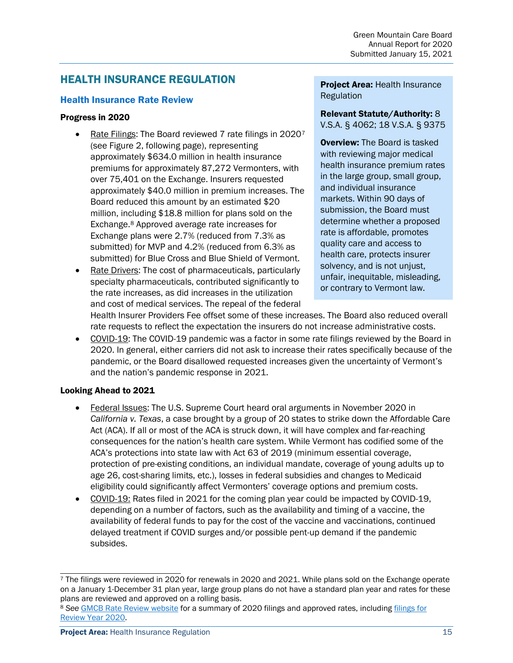# <span id="page-14-0"></span>HEALTH INSURANCE REGULATION

#### <span id="page-14-1"></span>Health Insurance Rate Review

#### Progress in 2020

- Rate Filings: The Board reviewed [7](#page-14-2) rate filings in 20207 (see Figure 2, following page), representing approximately \$634.0 million in health insurance premiums for approximately 87,272 Vermonters, with over 75,401 on the Exchange. Insurers requested approximately \$40.0 million in premium increases. The Board reduced this amount by an estimated \$20 million, including \$18.8 million for plans sold on the Exchange.[8](#page-14-3) Approved average rate increases for Exchange plans were 2.7% (reduced from 7.3% as submitted) for MVP and 4.2% (reduced from 6.3% as submitted) for Blue Cross and Blue Shield of Vermont.
- Rate Drivers: The cost of pharmaceuticals, particularly specialty pharmaceuticals, contributed significantly to the rate increases, as did increases in the utilization and cost of medical services. The repeal of the federal

**Project Area: Health Insurance Regulation** 

#### Relevant Statute/Authority: 8 V.S.A. § 4062; 18 V.S.A. § 9375

**Overview:** The Board is tasked with reviewing major medical health insurance premium rates in the large group, small group, and individual insurance markets. Within 90 days of submission, the Board must determine whether a proposed rate is affordable, promotes quality care and access to health care, protects insurer solvency, and is not unjust, unfair, inequitable, misleading, or contrary to Vermont law.

Health Insurer Providers Fee offset some of these increases. The Board also reduced overall rate requests to reflect the expectation the insurers do not increase administrative costs.

• COVID-19: The COVID-19 pandemic was a factor in some rate filings reviewed by the Board in 2020. In general, either carriers did not ask to increase their rates specifically because of the pandemic, or the Board disallowed requested increases given the uncertainty of Vermont's and the nation's pandemic response in 2021.

- Federal Issues: The U.S. Supreme Court heard oral arguments in November 2020 in *California v. Texas*, a case brought by a group of 20 states to strike down the Affordable Care Act (ACA). If all or most of the ACA is struck down, it will have complex and far-reaching consequences for the nation's health care system. While Vermont has codified some of the ACA's protections into state law with Act 63 of 2019 (minimum essential coverage, protection of pre-existing conditions, an individual mandate, coverage of young adults up to age 26, cost-sharing limits, etc.), losses in federal subsidies and changes to Medicaid eligibility could significantly affect Vermonters' coverage options and premium costs.
- COVID-19: Rates filed in 2021 for the coming plan year could be impacted by COVID-19, depending on a number of factors, such as the availability and timing of a vaccine, the availability of federal funds to pay for the cost of the vaccine and vaccinations, continued delayed treatment if COVID surges and/or possible pent-up demand if the pandemic subsides.

<span id="page-14-2"></span><sup>&</sup>lt;sup>7</sup> The filings were reviewed in 2020 for renewals in 2020 and 2021. While plans sold on the Exchange operate on a January 1-December 31 plan year, large group plans do not have a standard plan year and rates for these plans are reviewed and approved on a rolling basis.

<span id="page-14-3"></span><sup>8</sup> *See* [GMCB Rate Review website](https://ratereview.vermont.gov/) for a summary of 2020 filings and approved rates, includin[g filings for](https://gmcboard.vermont.gov/sites/gmcb/files/documents/Health_Insurance_Rate_Review_2019.pdf)  [Review Year 2020.](https://gmcboard.vermont.gov/sites/gmcb/files/documents/Health_Insurance_Rate_Review_2019.pdf)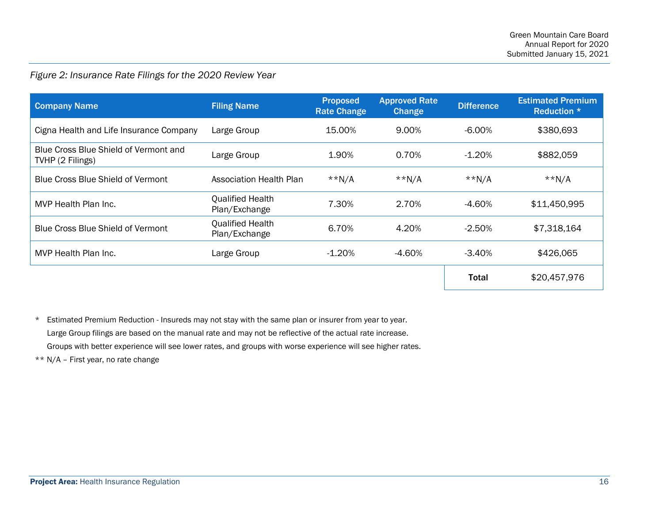# *Figure 2: Insurance Rate Filings for the 2020 Review Year*

| <b>Company Name</b>                                       | <b>Filing Name</b>                       | <b>Proposed</b><br><b>Rate Change</b> | <b>Approved Rate</b><br>Change | <b>Difference</b> | <b>Estimated Premium</b><br>Reduction * |
|-----------------------------------------------------------|------------------------------------------|---------------------------------------|--------------------------------|-------------------|-----------------------------------------|
| Cigna Health and Life Insurance Company                   | Large Group                              | 15.00%                                | 9.00%                          | $-6.00\%$         | \$380,693                               |
| Blue Cross Blue Shield of Vermont and<br>TVHP (2 Filings) | Large Group                              | 1.90%                                 | 0.70%                          | $-1.20\%$         | \$882,059                               |
| Blue Cross Blue Shield of Vermont                         | <b>Association Health Plan</b>           | $*N/A$                                | $*N/A$                         | $*N/A$            | $*N/A$                                  |
| MVP Health Plan Inc.                                      | <b>Qualified Health</b><br>Plan/Exchange | 7.30%                                 | 2.70%                          | $-4.60\%$         | \$11,450,995                            |
| <b>Blue Cross Blue Shield of Vermont</b>                  | <b>Qualified Health</b><br>Plan/Exchange | 6.70%                                 | 4.20%                          | $-2.50%$          | \$7,318,164                             |
| MVP Health Plan Inc.                                      | Large Group                              | $-1.20\%$                             | -4.60%                         | $-3.40\%$         | \$426,065                               |
|                                                           |                                          |                                       |                                | <b>Total</b>      | \$20,457,976                            |

\* Estimated Premium Reduction - Insureds may not stay with the same plan or insurer from year to year. Large Group filings are based on the manual rate and may not be reflective of the actual rate increase. Groups with better experience will see lower rates, and groups with worse experience will see higher rates.

\*\* N/A – First year, no rate change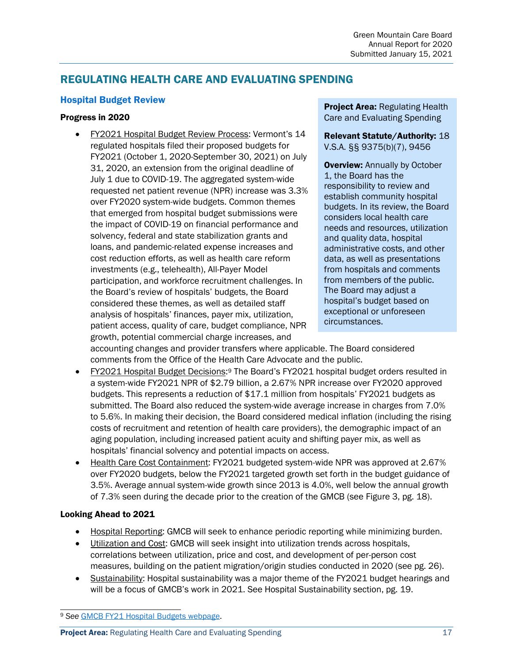# <span id="page-16-0"></span>REGULATING HEALTH CARE AND EVALUATING SPENDING

#### <span id="page-16-1"></span>Hospital Budget Review

#### Progress in 2020

• FY2021 Hospital Budget Review Process: Vermont's 14 regulated hospitals filed their proposed budgets for FY2021 (October 1, 2020-September 30, 2021) on July 31, 2020, an extension from the original deadline of July 1 due to COVID-19. The aggregated system-wide requested net patient revenue (NPR) increase was 3.3% over FY2020 system-wide budgets. Common themes that emerged from hospital budget submissions were the impact of COVID-19 on financial performance and solvency, federal and state stabilization grants and loans, and pandemic-related expense increases and cost reduction efforts, as well as health care reform investments (e.g., telehealth), All-Payer Model participation, and workforce recruitment challenges. In the Board's review of hospitals' budgets, the Board considered these themes, as well as detailed staff analysis of hospitals' finances, payer mix, utilization, patient access, quality of care, budget compliance, NPR growth, potential commercial charge increases, and

**Project Area: Regulating Health** Care and Evaluating Spending

Relevant Statute/Authority: 18 V.S.A. §§ 9375(b)(7), 9456

**Overview: Annually by October** 1, the Board has the responsibility to review and establish community hospital budgets. In its review, the Board considers local health care needs and resources, utilization and quality data, hospital administrative costs, and other data, as well as presentations from hospitals and comments from members of the public. The Board may adjust a hospital's budget based on exceptional or unforeseen circumstances.

accounting changes and provider transfers where applicable. The Board considered comments from the Office of the Health Care Advocate and the public.

- FY2021 Hospital Budget Decisions[:9](#page-16-2) The Board's FY2021 hospital budget orders resulted in a system-wide FY2021 NPR of \$2.79 billion, a 2.67% NPR increase over FY2020 approved budgets. This represents a reduction of \$17.1 million from hospitals' FY2021 budgets as submitted. The Board also reduced the system-wide average increase in charges from 7.0% to 5.6%. In making their decision, the Board considered medical inflation (including the rising costs of recruitment and retention of health care providers), the demographic impact of an aging population, including increased patient acuity and shifting payer mix, as well as hospitals' financial solvency and potential impacts on access.
- Health Care Cost Containment: FY2021 budgeted system-wide NPR was approved at 2.67% over FY2020 budgets, below the FY2021 targeted growth set forth in the budget guidance of 3.5%. Average annual system-wide growth since 2013 is 4.0%, well below the annual growth of 7.3% seen during the decade prior to the creation of the GMCB (see Figure 3, pg. 18).

- Hospital Reporting: GMCB will seek to enhance periodic reporting while minimizing burden.
- Utilization and Cost: GMCB will seek insight into utilization trends across hospitals, correlations between utilization, price and cost, and development of per-person cost measures, building on the patient migration/origin studies conducted in 2020 (see pg. 26).
- Sustainability: Hospital sustainability was a major theme of the FY2021 budget hearings and will be a focus of GMCB's work in 2021. See Hospital Sustainability section, pg. 19.

<span id="page-16-2"></span><sup>9</sup> *See* [GMCB FY21 Hospital Budgets webpage.](https://gmcboard.vermont.gov/hospitalbudget/fy2021budget)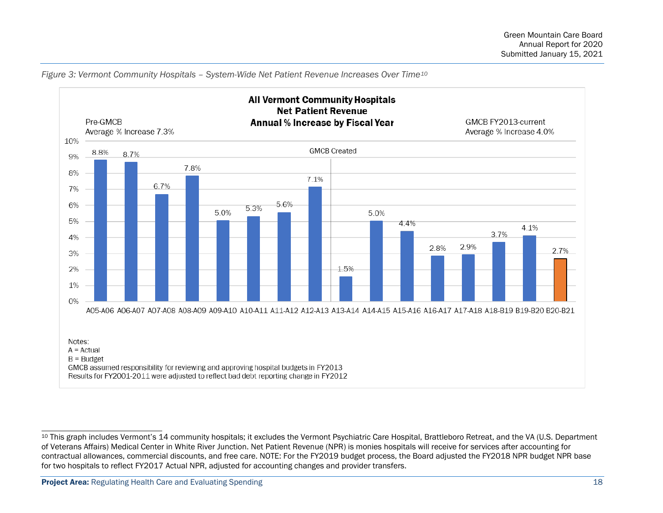

<span id="page-17-0"></span>*Figure 3: Vermont Community Hospitals – System-Wide Net Patient Revenue Increases Over Time[10](#page-17-0)*

<sup>&</sup>lt;sup>10</sup> This graph includes Vermont's 14 community hospitals; it excludes the Vermont Psychiatric Care Hospital, Brattleboro Retreat, and the VA (U.S. Department of Veterans Affairs) Medical Center in White River Junction. Net Patient Revenue (NPR) is monies hospitals will receive for services after accounting for contractual allowances, commercial discounts, and free care. NOTE: For the FY2019 budget process, the Board adjusted the FY2018 NPR budget NPR base for two hospitals to reflect FY2017 Actual NPR, adjusted for accounting changes and provider transfers.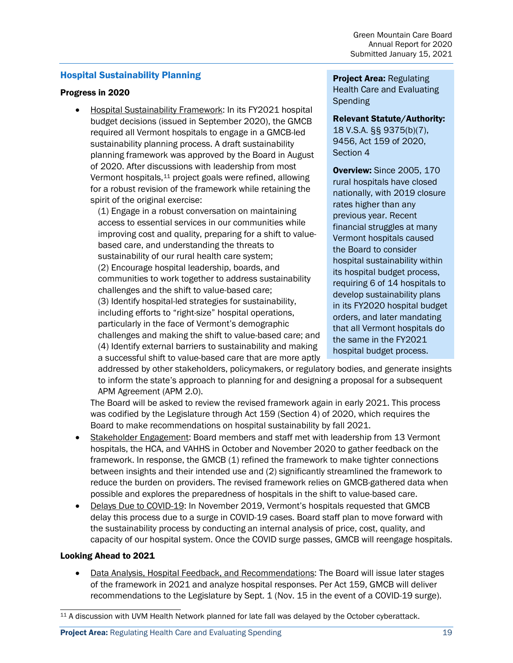#### <span id="page-18-0"></span>Hospital Sustainability Planning

#### Progress in 2020

• Hospital Sustainability Framework: In its FY2021 hospital budget decisions (issued in September 2020), the GMCB required all Vermont hospitals to engage in a GMCB-led sustainability planning process. A draft sustainability planning framework was approved by the Board in August of 2020. After discussions with leadership from most Vermont hospitals,[11](#page-18-1) project goals were refined, allowing for a robust revision of the framework while retaining the spirit of the original exercise:

(1) Engage in a robust conversation on maintaining access to essential services in our communities while improving cost and quality, preparing for a shift to valuebased care, and understanding the threats to sustainability of our rural health care system; (2) Encourage hospital leadership, boards, and communities to work together to address sustainability challenges and the shift to value-based care; (3) Identify hospital-led strategies for sustainability, including efforts to "right-size" hospital operations, particularly in the face of Vermont's demographic challenges and making the shift to value-based care; and (4) Identify external barriers to sustainability and making a successful shift to value-based care that are more aptly **Project Area: Regulating** Health Care and Evaluating Spending

#### Relevant Statute/Authority:

18 V.S.A. §§ 9375(b)(7), 9456, Act 159 of 2020, Section 4

Overview: Since 2005, 170 rural hospitals have closed nationally, with 2019 closure rates higher than any previous year. Recent financial struggles at many Vermont hospitals caused the Board to consider hospital sustainability within its hospital budget process, requiring 6 of 14 hospitals to develop sustainability plans in its FY2020 hospital budget orders, and later mandating that all Vermont hospitals do the same in the FY2021 hospital budget process.

addressed by other stakeholders, policymakers, or regulatory bodies, and generate insights to inform the state's approach to planning for and designing a proposal for a subsequent APM Agreement (APM 2.0).

The Board will be asked to review the revised framework again in early 2021. This process was codified by the Legislature through Act 159 (Section 4) of 2020, which requires the Board to make recommendations on hospital sustainability by fall 2021.

- Stakeholder Engagement: Board members and staff met with leadership from 13 Vermont hospitals, the HCA, and VAHHS in October and November 2020 to gather feedback on the framework. In response, the GMCB (1) refined the framework to make tighter connections between insights and their intended use and (2) significantly streamlined the framework to reduce the burden on providers. The revised framework relies on GMCB-gathered data when possible and explores the preparedness of hospitals in the shift to value-based care.
- Delays Due to COVID-19: In November 2019, Vermont's hospitals requested that GMCB delay this process due to a surge in COVID-19 cases. Board staff plan to move forward with the sustainability process by conducting an internal analysis of price, cost, quality, and capacity of our hospital system. Once the COVID surge passes, GMCB will reengage hospitals.

#### Looking Ahead to 2021

• Data Analysis, Hospital Feedback, and Recommendations: The Board will issue later stages of the framework in 2021 and analyze hospital responses. Per Act 159, GMCB will deliver recommendations to the Legislature by Sept. 1 (Nov. 15 in the event of a COVID-19 surge).

<span id="page-18-1"></span><sup>11</sup> A discussion with UVM Health Network planned for late fall was delayed by the October cyberattack.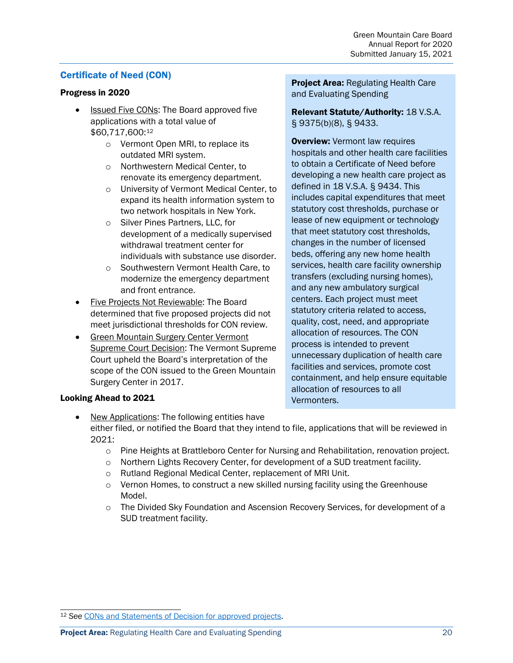#### <span id="page-19-0"></span>Certificate of Need (CON)

#### Progress in 2020

- Issued Five CONs: The Board approved five applications with a total value of \$60,717,600:[12](#page-19-1)
	- o Vermont Open MRI, to replace its outdated MRI system.
	- o Northwestern Medical Center, to renovate its emergency department.
	- o University of Vermont Medical Center, to expand its health information system to two network hospitals in New York.
	- o Silver Pines Partners, LLC, for development of a medically supervised withdrawal treatment center for individuals with substance use disorder.
	- o Southwestern Vermont Health Care, to modernize the emergency department and front entrance.
- Five Projects Not Reviewable: The Board determined that five proposed projects did not meet jurisdictional thresholds for CON review.
- Green Mountain Surgery Center Vermont Supreme Court Decision: The Vermont Supreme Court upheld the Board's interpretation of the scope of the CON issued to the Green Mountain Surgery Center in 2017.

Project Area: Regulating Health Care and Evaluating Spending

Relevant Statute/Authority: 18 V.S.A. § 9375(b)(8), § 9433.

**Overview:** Vermont law requires hospitals and other health care facilities to obtain a Certificate of Need before developing a new health care project as defined in 18 V.S.A. § 9434. This includes capital expenditures that meet statutory cost thresholds, purchase or lease of new equipment or technology that meet statutory cost thresholds, changes in the number of licensed beds, offering any new home health services, health care facility ownership transfers (excluding nursing homes), and any new ambulatory surgical centers. Each project must meet statutory criteria related to access, quality, cost, need, and appropriate allocation of resources. The CON process is intended to prevent unnecessary duplication of health care facilities and services, promote cost containment, and help ensure equitable allocation of resources to all Vermonters.

- New Applications: The following entities have either filed, or notified the Board that they intend to file, applications that will be reviewed in 2021:
	- o Pine Heights at Brattleboro Center for Nursing and Rehabilitation, renovation project.
	- $\circ$  Northern Lights Recovery Center, for development of a SUD treatment facility.
	- o Rutland Regional Medical Center, replacement of MRI Unit.
	- $\circ$  Vernon Homes, to construct a new skilled nursing facility using the Greenhouse Model.
	- $\circ$  The Divided Sky Foundation and Ascension Recovery Services, for development of a SUD treatment facility.

<span id="page-19-1"></span><sup>12</sup> *See* [CONs and Statements of Decision for approved projects.](https://gmcboard.vermont.gov/con/issued)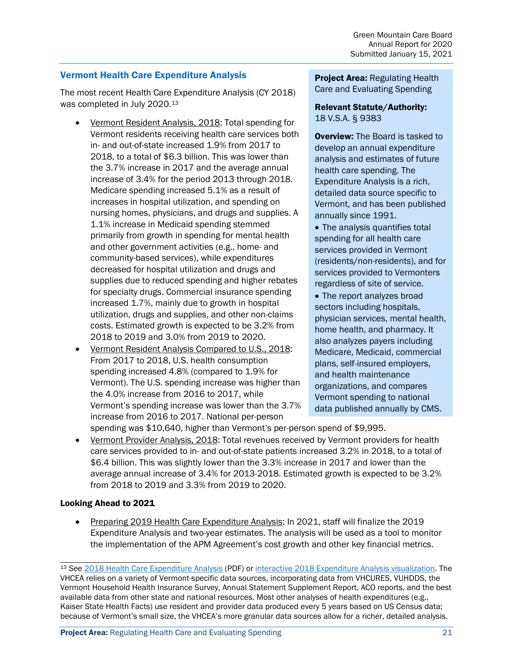#### <span id="page-20-0"></span>Vermont Health Care Expenditure Analysis

The most recent Health Care Expenditure Analysis (CY 2018) was completed in July 2020.[13](#page-20-1)

- Vermont Resident Analysis, 2018: Total spending for Vermont residents receiving health care services both in- and out-of-state increased 1.9% from 2017 to 2018, to a total of \$6.3 billion. This was lower than the 3.7% increase in 2017 and the average annual increase of 3.4% for the period 2013 through 2018. Medicare spending increased 5.1% as a result of increases in hospital utilization, and spending on nursing homes, physicians, and drugs and supplies. A 1.1% increase in Medicaid spending stemmed primarily from growth in spending for mental health and other government activities (e.g., home- and community-based services), while expenditures decreased for hospital utilization and drugs and supplies due to reduced spending and higher rebates for specialty drugs. Commercial insurance spending increased 1.7%, mainly due to growth in hospital utilization, drugs and supplies, and other non-claims costs. Estimated growth is expected to be 3.2% from 2018 to 2019 and 3.0% from 2019 to 2020.
- Vermont Resident Analysis Compared to U.S., 2018: From 2017 to 2018, U.S. health consumption spending increased 4.8% (compared to 1.9% for Vermont). The U.S. spending increase was higher than the 4.0% increase from 2016 to 2017, while Vermont's spending increase was lower than the 3.7% increase from 2016 to 2017. National per-person

**Project Area: Regulating Health** Care and Evaluating Spending

#### Relevant Statute/Authority: 18 V.S.A. § 9383

**Overview:** The Board is tasked to develop an annual expenditure analysis and estimates of future health care spending. The Expenditure Analysis is a rich, detailed data source specific to Vermont, and has been published annually since 1991.

• The analysis quantifies total spending for all health care services provided in Vermont (residents/non-residents), and for services provided to Vermonters regardless of site of service.

• The report analyzes broad sectors including hospitals, physician services, mental health, home health, and pharmacy. It also analyzes payers including Medicare, Medicaid, commercial plans, self-insured employers, and health maintenance organizations, and compares Vermont spending to national data published annually by CMS.

spending was \$10,640, higher than Vermont's per-person spend of \$9,995.

• Vermont Provider Analysis, 2018: Total revenues received by Vermont providers for health care services provided to in- and out-of-state patients increased 3.2% in 2018, to a total of \$6.4 billion. This was slightly lower than the 3.3% increase in 2017 and lower than the average annual increase of 3.4% for 2013-2018. Estimated growth is expected to be 3.2% from 2018 to 2019 and 3.3% from 2019 to 2020.

#### Looking Ahead to 2021

• Preparing 2019 Health Care Expenditure Analysis: In 2021, staff will finalize the 2019 Expenditure Analysis and two-year estimates. The analysis will be used as a tool to monitor the implementation of the APM Agreement's cost growth and other key financial metrics.

<span id="page-20-1"></span><sup>13</sup> *See* [2018 Health Care Expenditure Analysis](https://gmcboard.vermont.gov/sites/gmcb/files/Misc/2018_VT_Health_Care_Expenditure_Analysis_Final_%20July_%208_%202020.pdf) (PDF) or [interactive 2018 Expenditure Analysis visualization.](https://public.tableau.com/profile/state.of.vermont#!/vizhome/2018_ea_publish/2018ResidentExp_Analysis?publish=yes) The VHCEA relies on a variety of Vermont-specific data sources, incorporating data from VHCURES, VUHDDS, the Vermont Household Health Insurance Survey, Annual Statement Supplement Report, ACO reports, and the best available data from other state and national resources. Most other analyses of health expenditures (e.g., Kaiser State Health Facts) use resident and provider data produced every 5 years based on US Census data; because of Vermont's small size, the VHCEA's more granular data sources allow for a richer, detailed analysis.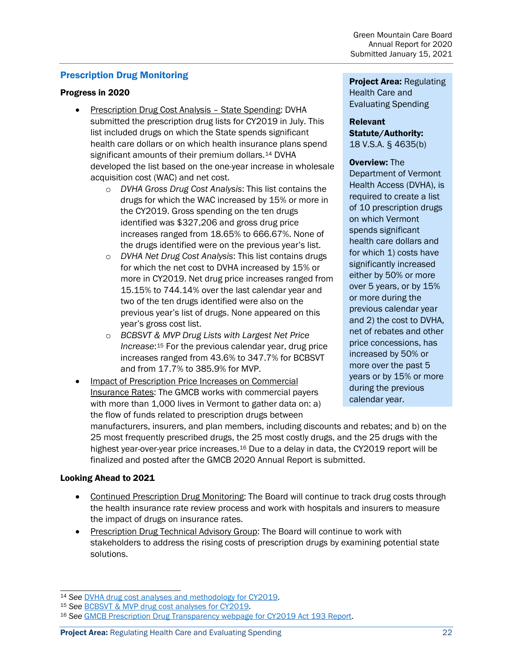#### <span id="page-21-0"></span>Prescription Drug Monitoring

#### Progress in 2020

- Prescription Drug Cost Analysis State Spending: DVHA submitted the prescription drug lists for CY2019 in July. This list included drugs on which the State spends significant health care dollars or on which health insurance plans spend significant amounts of their premium dollars.<sup>[14](#page-21-1)</sup> DVHA developed the list based on the one-year increase in wholesale acquisition cost (WAC) and net cost.
	- o *DVHA Gross Drug Cost Analysis*: This list contains the drugs for which the WAC increased by 15% or more in the CY2019. Gross spending on the ten drugs identified was \$327,206 and gross drug price increases ranged from 18.65% to 666.67%. None of the drugs identified were on the previous year's list.
	- o *DVHA Net Drug Cost Analysis*: This list contains drugs for which the net cost to DVHA increased by 15% or more in CY2019. Net drug price increases ranged from 15.15% to 744.14% over the last calendar year and two of the ten drugs identified were also on the previous year's list of drugs. None appeared on this year's gross cost list.
	- o *BCBSVT & MVP Drug Lists with Largest Net Price Increase*:[15](#page-21-2) For the previous calendar year, drug price increases ranged from 43.6% to 347.7% for BCBSVT and from 17.7% to 385.9% for MVP.
- Impact of Prescription Price Increases on Commercial Insurance Rates: The GMCB works with commercial payers with more than 1,000 lives in Vermont to gather data on: a) the flow of funds related to prescription drugs between

**Project Area: Regulating** Health Care and Evaluating Spending

#### Relevant Statute/Authority: 18 V.S.A. § 4635(b)

#### Overview: The

Department of Vermont Health Access (DVHA), is required to create a list of 10 prescription drugs on which Vermont spends significant health care dollars and for which 1) costs have significantly increased either by 50% or more over 5 years, or by 15% or more during the previous calendar year and 2) the cost to DVHA, net of rebates and other price concessions, has increased by 50% or more over the past 5 years or by 15% or more during the previous calendar year.

manufacturers, insurers, and plan members, including discounts and rebates; and b) on the 25 most frequently prescribed drugs, the 25 most costly drugs, and the 25 drugs with the highest year-over-year price increases.<sup>[16](#page-21-3)</sup> Due to a delay in data, the CY2019 report will be finalized and posted after the GMCB 2020 Annual Report is submitted.

- Continued Prescription Drug Monitoring: The Board will continue to track drug costs through the health insurance rate review process and work with hospitals and insurers to measure the impact of drugs on insurance rates.
- Prescription Drug Technical Advisory Group: The Board will continue to work with stakeholders to address the rising costs of prescription drugs by examining potential state solutions.

<span id="page-21-1"></span><sup>14</sup> *See* [DVHA drug cost analyses and methodology for CY2019.](https://gmcboard.vermont.gov/sites/gmcb/files/documents/DVHA%20Drug%20Lists%202019.pdf)

<span id="page-21-2"></span><sup>15</sup> *See* [BCBSVT & MVP drug cost analyses for CY2019.](https://gmcboard.vermont.gov/sites/gmcb/files/documents/BCBSVT_MVP_Prescription_Drug_Lists_2020.pdf)

<span id="page-21-3"></span><sup>16</sup> *See* [GMCB Prescription Drug Transparency webpage for CY2019 Act 193 Report.](https://gmcboard.vermont.gov/publications/legislative-reports/Act165)

**Project Area:** Regulating Health Care and Evaluating Spending 22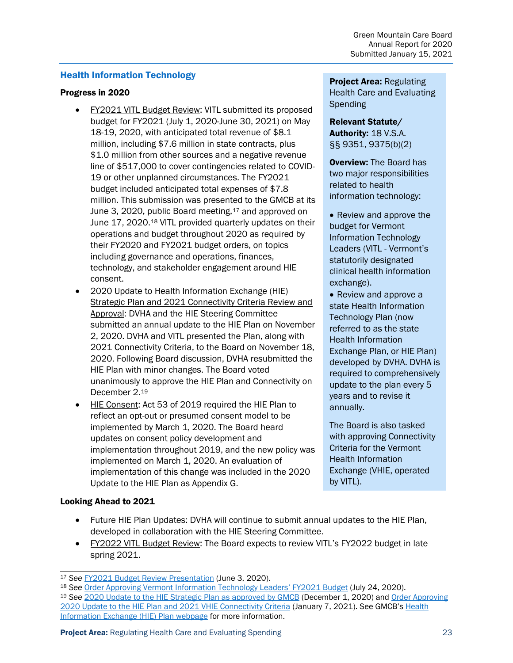#### <span id="page-22-0"></span>Health Information Technology

#### Progress in 2020

- FY2021 VITL Budget Review: VITL submitted its proposed budget for FY2021 (July 1, 2020-June 30, 2021) on May 18-19, 2020, with anticipated total revenue of \$8.1 million, including \$7.6 million in state contracts, plus \$1.0 million from other sources and a negative revenue line of \$517,000 to cover contingencies related to COVID-19 or other unplanned circumstances. The FY2021 budget included anticipated total expenses of \$7.8 million. This submission was presented to the GMCB at its June 3, 2020, public Board meeting, <sup>[17](#page-22-1)</sup> and approved on June 17, 2020.[18](#page-22-2) VITL provided quarterly updates on their operations and budget throughout 2020 as required by their FY2020 and FY2021 budget orders, on topics including governance and operations, finances, technology, and stakeholder engagement around HIE consent.
- 2020 Update to Health Information Exchange (HIE) Strategic Plan and 2021 Connectivity Criteria Review and Approval: DVHA and the HIE Steering Committee submitted an annual update to the HIE Plan on November 2, 2020. DVHA and VITL presented the Plan, along with 2021 Connectivity Criteria, to the Board on November 18, 2020. Following Board discussion, DVHA resubmitted the HIE Plan with minor changes. The Board voted unanimously to approve the HIE Plan and Connectivity on December 2.[19](#page-22-3)
- HIE Consent: Act 53 of 2019 required the HIE Plan to reflect an opt-out or presumed consent model to be implemented by March 1, 2020. The Board heard updates on consent policy development and implementation throughout 2019, and the new policy was implemented on March 1, 2020. An evaluation of implementation of this change was included in the 2020 Update to the HIE Plan as Appendix G.

#### **Project Area: Regulating** Health Care and Evaluating **Spending**

Relevant Statute/ Authority: 18 V.S.A. §§ 9351, 9375(b)(2)

**Overview: The Board has** two major responsibilities related to health information technology:

- Review and approve the budget for Vermont Information Technology Leaders (VITL - Vermont's statutorily designated clinical health information exchange).
- Review and approve a state Health Information Technology Plan (now referred to as the state Health Information Exchange Plan, or HIE Plan) developed by DVHA. DVHA is required to comprehensively update to the plan every 5 years and to revise it annually.

The Board is also tasked with approving Connectivity Criteria for the Vermont Health Information Exchange (VHIE, operated by VITL).

- Future HIE Plan Updates: DVHA will continue to submit annual updates to the HIE Plan, developed in collaboration with the HIE Steering Committee.
- FY2022 VITL Budget Review: The Board expects to review VITL's FY2022 budget in late spring 2021.

<span id="page-22-3"></span><span id="page-22-2"></span><span id="page-22-1"></span><sup>17</sup> *See* FY2021 Budget Review Presentation (June 3, 2020). 18 *See* [Order Approving Vermont Information Technology Leaders' FY2021 Budget](https://gmcboard.vermont.gov/sites/gmcb/files/documents/Order_VITLBudg_FY21_20200724_FINAL.pdf) (July 24, 2020). <sup>19</sup> *See* [2020 Update to the HIE Strategic Plan as approved by GMCB](https://gmcboard.vermont.gov/document/vermonts-health-information-exchange-strategic-plan-2018-2022-2020-update-resubmission) (December 1, 2020) and [Order Approving](https://gmcboard.vermont.gov/sites/gmcb/files/documents/HIEPlanOrder_2020Update_20210107_FINAL.pdf)  [2020 Update to the HIE Plan and 2021 VHIE Connectivity Criteria](https://gmcboard.vermont.gov/sites/gmcb/files/documents/HIEPlanOrder_2020Update_20210107_FINAL.pdf) (January 7, 2021). See GMCB's Health [Information Exchange \(HIE\) Plan webpage](https://gmcboard.vermont.gov/health-information-technology/health-it-plan) for more information.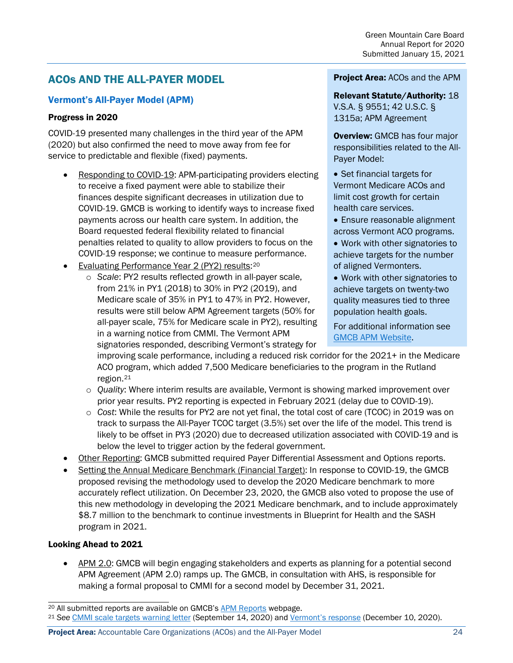# <span id="page-23-0"></span>ACOs AND THE ALL-PAYER MODEL

#### <span id="page-23-1"></span>Vermont's All-Payer Model (APM)

#### Progress in 2020

COVID-19 presented many challenges in the third year of the APM (2020) but also confirmed the need to move away from fee for service to predictable and flexible (fixed) payments.

- Responding to COVID-19: APM-participating providers electing to receive a fixed payment were able to stabilize their finances despite significant decreases in utilization due to COVID-19. GMCB is working to identify ways to increase fixed payments across our health care system. In addition, the Board requested federal flexibility related to financial penalties related to quality to allow providers to focus on the COVID-19 response; we continue to measure performance.
- Evaluating Performance Year 2 (PY2) results:[20](#page-23-2)
	- o *Scale*: PY2 results reflected growth in all-payer scale, from 21% in PY1 (2018) to 30% in PY2 (2019), and Medicare scale of 35% in PY1 to 47% in PY2. However, results were still below APM Agreement targets (50% for all-payer scale, 75% for Medicare scale in PY2), resulting in a warning notice from CMMI. The Vermont APM signatories responded, describing Vermont's strategy for

#### Project Area: ACOs and the APM

Relevant Statute/Authority: 18 V.S.A. § 9551; 42 U.S.C. § 1315a; APM Agreement

**Overview: GMCB has four major** responsibilities related to the All-Payer Model:

- Set financial targets for Vermont Medicare ACOs and limit cost growth for certain health care services.
- Ensure reasonable alignment across Vermont ACO programs.
- Work with other signatories to achieve targets for the number of aligned Vermonters.
- Work with other signatories to achieve targets on twenty-two quality measures tied to three population health goals.

For additional information see [GMCB APM Website.](https://gmcboard.vermont.gov/payment-reform/APM)

improving scale performance, including a reduced risk corridor for the 2021+ in the Medicare ACO program, which added 7,500 Medicare beneficiaries to the program in the Rutland region.[21](#page-23-3)

- o *Quality*: Where interim results are available, Vermont is showing marked improvement over prior year results. PY2 reporting is expected in February 2021 (delay due to COVID-19).
- o *Cost*: While the results for PY2 are not yet final, the total cost of care (TCOC) in 2019 was on track to surpass the All-Payer TCOC target (3.5%) set over the life of the model. This trend is likely to be offset in PY3 (2020) due to decreased utilization associated with COVID-19 and is below the level to trigger action by the federal government.
- Other Reporting: GMCB submitted required Payer Differential Assessment and Options reports.
- Setting the Annual Medicare Benchmark (Financial Target): In response to COVID-19, the GMCB proposed revising the methodology used to develop the 2020 Medicare benchmark to more accurately reflect utilization. On December 23, 2020, the GMCB also voted to propose the use of this new methodology in developing the 2021 Medicare benchmark, and to include approximately \$8.7 million to the benchmark to continue investments in Blueprint for Health and the SASH program in 2021.

#### Looking Ahead to 2021

• APM 2.0: GMCB will begin engaging stakeholders and experts as planning for a potential second APM Agreement (APM 2.0) ramps up. The GMCB, in consultation with AHS, is responsible for making a formal proposal to CMMI for a second model by December 31, 2021.

**Project Area:** Accountable Care Organizations (ACOs) and the All-Payer Model 24

<span id="page-23-2"></span><sup>20</sup> All submitted reports are available on GMCB'[s APM Reports](https://gmcboard.vermont.gov/payment-reform/APM/reports-and-federal-communications) webpage.

<span id="page-23-3"></span><sup>21</sup> *See* [CMMI scale targets warning letter](https://gmcboard.vermont.gov/sites/gmcb/files/documents/VT%20State%20Agreement%20Scale%20Warning%20Notice_final_sig_0.pdf) (September 14, 2020) an[d Vermont's response](https://gmcboard.vermont.gov/document/state-vermont-response-scale-target-warning-letter-12102020) (December 10, 2020).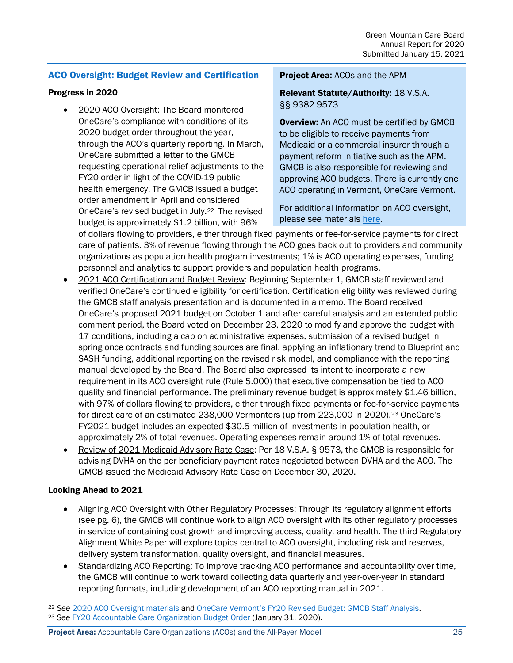#### <span id="page-24-0"></span>ACO Oversight: Budget Review and Certification

#### Progress in 2020

• 2020 ACO Oversight: The Board monitored OneCare's compliance with conditions of its 2020 budget order throughout the year, through the ACO's quarterly reporting. In March, OneCare submitted a letter to the GMCB requesting operational relief adjustments to the FY20 order in light of the COVID-19 public health emergency. The GMCB issued a budget order amendment in April and considered OneCare's revised budget in July.[22](#page-24-1) The revised budget is approximately \$1.2 billion, with 96%

#### Project Area: ACOs and the APM

Relevant Statute/Authority: 18 V.S.A. §§ 9382 9573

**Overview:** An ACO must be certified by GMCB to be eligible to receive payments from Medicaid or a commercial insurer through a payment reform initiative such as the APM. GMCB is also responsible for reviewing and approving ACO budgets. There is currently one ACO operating in Vermont, OneCare Vermont.

For additional information on ACO oversight, please see materials [here.](https://gmcboard.vermont.gov/aco-apm-legislative-summaries)

of dollars flowing to providers, either through fixed payments or fee-for-service payments for direct care of patients. 3% of revenue flowing through the ACO goes back out to providers and community organizations as population health program investments; 1% is ACO operating expenses, funding personnel and analytics to support providers and population health programs.

- 2021 ACO Certification and Budget Review: Beginning September 1, GMCB staff reviewed and verified OneCare's continued eligibility for certification. Certification eligibility was reviewed during the GMCB staff analysis presentation and is documented in a memo. The Board received OneCare's proposed 2021 budget on October 1 and after careful analysis and an extended public comment period, the Board voted on December 23, 2020 to modify and approve the budget with 17 conditions, including a cap on administrative expenses, submission of a revised budget in spring once contracts and funding sources are final, applying an inflationary trend to Blueprint and SASH funding, additional reporting on the revised risk model, and compliance with the reporting manual developed by the Board. The Board also expressed its intent to incorporate a new requirement in its ACO oversight rule (Rule 5.000) that executive compensation be tied to ACO quality and financial performance. The preliminary revenue budget is approximately \$1.46 billion, with 97% of dollars flowing to providers, either through fixed payments or fee-for-service payments for direct care of an estimated [23](#page-24-2)8,000 Vermonters (up from 223,000 in 2020).<sup>23</sup> OneCare's FY2021 budget includes an expected \$30.5 million of investments in population health, or approximately 2% of total revenues. Operating expenses remain around 1% of total revenues.
- Review of 2021 Medicaid Advisory Rate Case: Per 18 V.S.A. § 9573, the GMCB is responsible for advising DVHA on the per beneficiary payment rates negotiated between DVHA and the ACO. The GMCB issued the Medicaid Advisory Rate Case on December 30, 2020.

#### Looking Ahead to 2021

- Aligning ACO Oversight with Other Regulatory Processes: Through its regulatory alignment efforts (see pg. 6), the GMCB will continue work to align ACO oversight with its other regulatory processes in service of containing cost growth and improving access, quality, and health. The third Regulatory Alignment White Paper will explore topics central to ACO oversight, including risk and reserves, delivery system transformation, quality oversight, and financial measures.
- Standardizing ACO Reporting: To improve tracking ACO performance and accountability over time, the GMCB will continue to work toward collecting data quarterly and year-over-year in standard reporting formats, including development of an ACO reporting manual in 2021.

**Project Area:** Accountable Care Organizations (ACOs) and the All-Payer Model 25

<span id="page-24-2"></span><span id="page-24-1"></span><sup>22</sup> *See* [2020 ACO Oversight materials](https://gmcboard.vermont.gov/aco-oversight/2020) and [OneCare Vermont's FY20 Revised Budget: GMCB Staff Analysis.](https://gmcboard.vermont.gov/sites/gmcb/files/Board-Meetings/FY%202020%20ACO%20Revised%20Budget%20Presentation%20-%20updated%208.12.2020.pdf) <sup>23</sup> *See* [FY20 Accountable Care Organization Budget Order](https://gmcboard.vermont.gov/sites/gmcb/files/documents/payment-reform/FY20%20ACO%20Budget%20Order%2C%20OneCare%20Vermont%3B%2019-001-A.pdf) (January 31, 2020).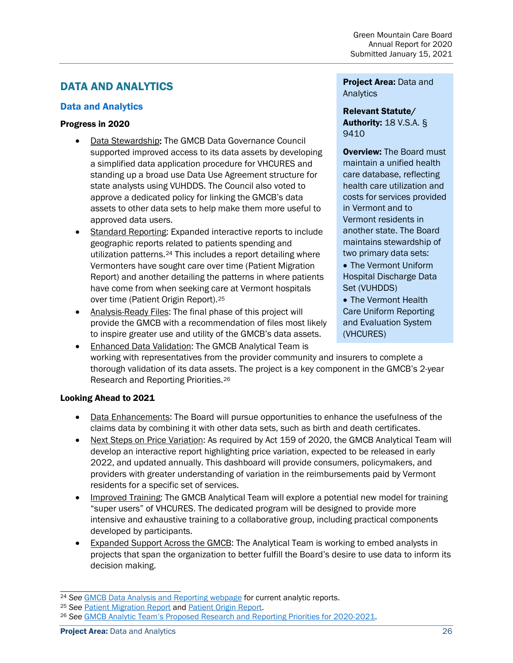# <span id="page-25-0"></span>DATA AND ANALYTICS

#### <span id="page-25-1"></span>Data and Analytics

#### Progress in 2020

- Data Stewardship: The GMCB Data Governance Council supported improved access to its data assets by developing a simplified data application procedure for VHCURES and standing up a broad use Data Use Agreement structure for state analysts using VUHDDS. The Council also voted to approve a dedicated policy for linking the GMCB's data assets to other data sets to help make them more useful to approved data users.
- Standard Reporting: Expanded interactive reports to include geographic reports related to patients spending and utilization patterns.[24](#page-25-2) This includes a report detailing where Vermonters have sought care over time (Patient Migration Report) and another detailing the patterns in where patients have come from when seeking care at Vermont hospitals over time (Patient Origin Report).[25](#page-25-3)
- Analysis-Ready Files: The final phase of this project will provide the GMCB with a recommendation of files most likely to inspire greater use and utility of the GMCB's data assets.

Project Area: Data and Analytics

Relevant Statute/ Authority: 18 V.S.A. § 9410

**Overview: The Board must** maintain a unified health care database, reflecting health care utilization and costs for services provided in Vermont and to Vermont residents in another state. The Board maintains stewardship of two primary data sets:

• The Vermont Uniform Hospital Discharge Data Set (VUHDDS)

• The Vermont Health Care Uniform Reporting and Evaluation System (VHCURES)

• Enhanced Data Validation: The GMCB Analytical Team is working with representatives from the provider community and insurers to complete a thorough validation of its data assets. The project is a key component in the GMCB's 2-year Research and Reporting Priorities.[26](#page-25-4)

- Data Enhancements: The Board will pursue opportunities to enhance the usefulness of the claims data by combining it with other data sets, such as birth and death certificates.
- Next Steps on Price Variation: As required by Act 159 of 2020, the GMCB Analytical Team will develop an interactive report highlighting price variation, expected to be released in early 2022, and updated annually. This dashboard will provide consumers, policymakers, and providers with greater understanding of variation in the reimbursements paid by Vermont residents for a specific set of services.
- Improved Training: The GMCB Analytical Team will explore a potential new model for training "super users" of VHCURES. The dedicated program will be designed to provide more intensive and exhaustive training to a collaborative group, including practical components developed by participants.
- Expanded Support Across the GMCB: The Analytical Team is working to embed analysts in projects that span the organization to better fulfill the Board's desire to use data to inform its decision making.

<span id="page-25-3"></span><span id="page-25-2"></span><sup>&</sup>lt;sup>24</sup> See **[GMCB Data Analysis and Reporting webpage](https://gmcboard.vermont.gov/data-and-analytics/analytics-rpts) for current analytic reports.**<br><sup>25</sup> See Patient Migration Report and Patient Origin Report.

<span id="page-25-4"></span><sup>&</sup>lt;sup>26</sup> See [GMCB Analytic Team's Proposed Research and Reporting Priorities](https://gmcboard.vermont.gov/sites/gmcb/files/documents/A-Team%20Analytic%20Priorities%20Presentation%202019.12.18.pdf) for 2020-2021.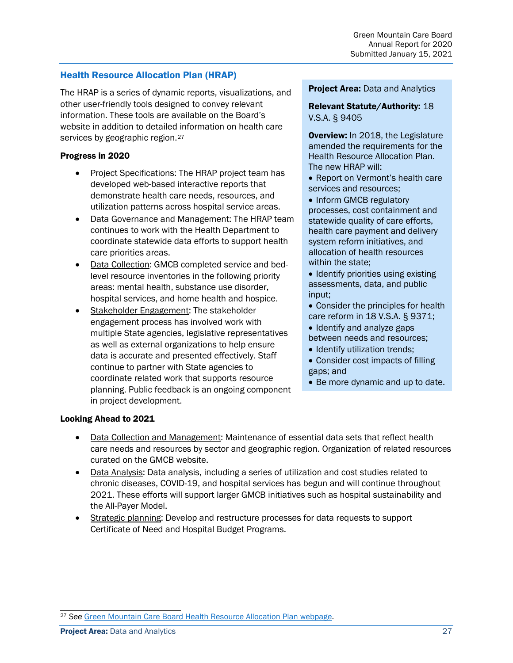#### <span id="page-26-0"></span>Health Resource Allocation Plan (HRAP)

The HRAP is a series of dynamic reports, visualizations, and other user-friendly tools designed to convey relevant information. These tools are available on the Board's website in addition to detailed information on health care services by geographic region.<sup>[27](#page-26-1)</sup>

#### Progress in 2020

- Project Specifications: The HRAP project team has developed web-based interactive reports that demonstrate health care needs, resources, and utilization patterns across hospital service areas.
- Data Governance and Management: The HRAP team continues to work with the Health Department to coordinate statewide data efforts to support health care priorities areas.
- Data Collection: GMCB completed service and bedlevel resource inventories in the following priority areas: mental health, substance use disorder, hospital services, and home health and hospice.
- Stakeholder Engagement: The stakeholder engagement process has involved work with multiple State agencies, legislative representatives as well as external organizations to help ensure data is accurate and presented effectively. Staff continue to partner with State agencies to coordinate related work that supports resource planning. Public feedback is an ongoing component in project development.

#### **Project Area: Data and Analytics**

#### Relevant Statute/Authority: 18 V.S.A. § 9405

Overview: In 2018, the Legislature amended the requirements for the Health Resource Allocation Plan. The new HRAP will:

• Report on Vermont's health care services and resources;

• Inform GMCB regulatory processes, cost containment and statewide quality of care efforts, health care payment and delivery system reform initiatives, and allocation of health resources within the state;

• Identify priorities using existing assessments, data, and public input;

• Consider the principles for health care reform in 18 V.S.A. § 9371;

- Identify and analyze gaps between needs and resources;
- Identify utilization trends;
- Consider cost impacts of filling gaps; and
- Be more dynamic and up to date.

- Data Collection and Management: Maintenance of essential data sets that reflect health care needs and resources by sector and geographic region. Organization of related resources curated on the GMCB website.
- Data Analysis: Data analysis, including a series of utilization and cost studies related to chronic diseases, COVID-19, and hospital services has begun and will continue throughout 2021. These efforts will support larger GMCB initiatives such as hospital sustainability and the All-Payer Model.
- Strategic planning: Develop and restructure processes for data requests to support Certificate of Need and Hospital Budget Programs.

<span id="page-26-1"></span><sup>27</sup> *See* [Green Mountain Care Board Health Resource Allocation Plan webpage.](https://gmcboard.vermont.gov/gmcb-health-resource-allocation-plan)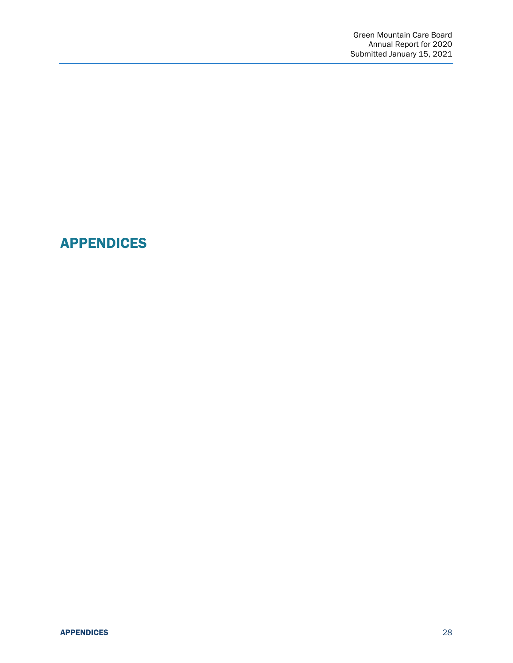# <span id="page-27-0"></span>APPENDICES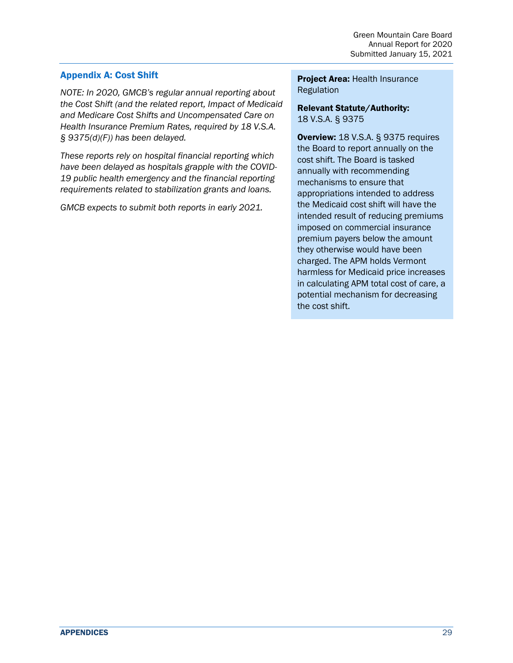#### <span id="page-28-0"></span>Appendix A: Cost Shift

*NOTE: In 2020, GMCB's regular annual reporting about the Cost Shift (and the related report, Impact of Medicaid and Medicare Cost Shifts and Uncompensated Care on Health Insurance Premium Rates, required by 18 V.S.A. § 9375(d)(F)) has been delayed.* 

*These reports rely on hospital financial reporting which have been delayed as hospitals grapple with the COVID-19 public health emergency and the financial reporting requirements related to stabilization grants and loans.*

*GMCB expects to submit both reports in early 2021.* 

Project Area: Health Insurance **Regulation** 

#### Relevant Statute/Authority: 18 V.S.A. § 9375

Overview: 18 V.S.A. § 9375 requires the Board to report annually on the cost shift. The Board is tasked annually with recommending mechanisms to ensure that appropriations intended to address the Medicaid cost shift will have the intended result of reducing premiums imposed on commercial insurance premium payers below the amount they otherwise would have been charged. The APM holds Vermont harmless for Medicaid price increases in calculating APM total cost of care, a potential mechanism for decreasing the cost shift.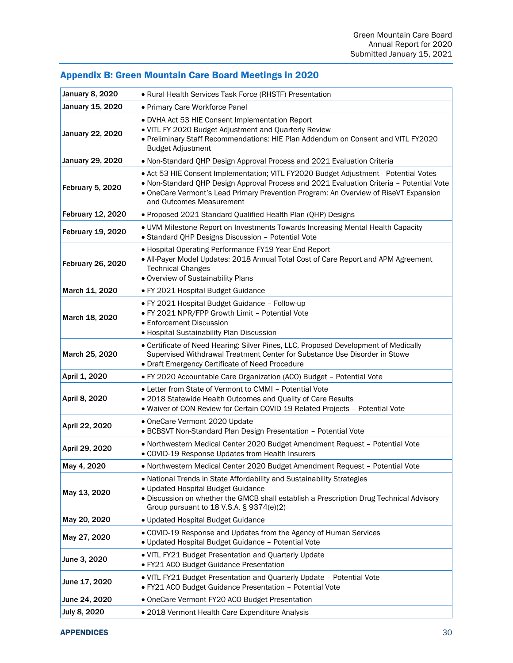# <span id="page-29-0"></span>Appendix B: Green Mountain Care Board Meetings in 2020

| <b>January 8, 2020</b> | • Rural Health Services Task Force (RHSTF) Presentation                                                                                                                                                                                                                                             |
|------------------------|-----------------------------------------------------------------------------------------------------------------------------------------------------------------------------------------------------------------------------------------------------------------------------------------------------|
| January 15, 2020       | • Primary Care Workforce Panel                                                                                                                                                                                                                                                                      |
| January 22, 2020       | · DVHA Act 53 HIE Consent Implementation Report<br>. VITL FY 2020 Budget Adjustment and Quarterly Review<br>. Preliminary Staff Recommendations: HIE Plan Addendum on Consent and VITL FY2020<br><b>Budget Adjustment</b>                                                                           |
| January 29, 2020       | . Non-Standard QHP Design Approval Process and 2021 Evaluation Criteria                                                                                                                                                                                                                             |
| February 5, 2020       | · Act 53 HIE Consent Implementation; VITL FY2020 Budget Adjustment- Potential Votes<br>. Non-Standard QHP Design Approval Process and 2021 Evaluation Criteria - Potential Vote<br>• OneCare Vermont's Lead Primary Prevention Program: An Overview of RiseVT Expansion<br>and Outcomes Measurement |
| February 12, 2020      | · Proposed 2021 Standard Qualified Health Plan (QHP) Designs                                                                                                                                                                                                                                        |
| February 19, 2020      | . UVM Milestone Report on Investments Towards Increasing Mental Health Capacity<br>• Standard QHP Designs Discussion - Potential Vote                                                                                                                                                               |
| February 26, 2020      | • Hospital Operating Performance FY19 Year-End Report<br>. All-Payer Model Updates: 2018 Annual Total Cost of Care Report and APM Agreement<br><b>Technical Changes</b><br>. Overview of Sustainability Plans                                                                                       |
| March 11, 2020         | · FY 2021 Hospital Budget Guidance                                                                                                                                                                                                                                                                  |
| March 18, 2020         | · FY 2021 Hospital Budget Guidance - Follow-up<br>. FY 2021 NPR/FPP Growth Limit - Potential Vote<br>• Enforcement Discussion<br>• Hospital Sustainability Plan Discussion                                                                                                                          |
| March 25, 2020         | • Certificate of Need Hearing: Silver Pines, LLC, Proposed Development of Medically<br>Supervised Withdrawal Treatment Center for Substance Use Disorder in Stowe<br>· Draft Emergency Certificate of Need Procedure                                                                                |
| April 1, 2020          | . FY 2020 Accountable Care Organization (ACO) Budget - Potential Vote                                                                                                                                                                                                                               |
| April 8, 2020          | • Letter from State of Vermont to CMMI - Potential Vote<br>. 2018 Statewide Health Outcomes and Quality of Care Results<br>. Waiver of CON Review for Certain COVID-19 Related Projects - Potential Vote                                                                                            |
| April 22, 2020         | • OneCare Vermont 2020 Update<br>• BCBSVT Non-Standard Plan Design Presentation - Potential Vote                                                                                                                                                                                                    |
| April 29, 2020         | · Northwestern Medical Center 2020 Budget Amendment Request - Potential Vote<br>· COVID-19 Response Updates from Health Insurers                                                                                                                                                                    |
| May 4, 2020            | · Northwestern Medical Center 2020 Budget Amendment Request - Potential Vote                                                                                                                                                                                                                        |
| May 13, 2020           | . National Trends in State Affordability and Sustainability Strategies<br>• Updated Hospital Budget Guidance<br>· Discussion on whether the GMCB shall establish a Prescription Drug Technical Advisory<br>Group pursuant to 18 V.S.A. $\S$ 9374(e)(2)                                              |
| May 20, 2020           | · Updated Hospital Budget Guidance                                                                                                                                                                                                                                                                  |
| May 27, 2020           | • COVID-19 Response and Updates from the Agency of Human Services<br>· Updated Hospital Budget Guidance - Potential Vote                                                                                                                                                                            |
| June 3, 2020           | . VITL FY21 Budget Presentation and Quarterly Update<br>· FY21 ACO Budget Guidance Presentation                                                                                                                                                                                                     |
| June 17, 2020          | . VITL FY21 Budget Presentation and Quarterly Update - Potential Vote<br>· FY21 ACO Budget Guidance Presentation - Potential Vote                                                                                                                                                                   |
| June 24, 2020          | • OneCare Vermont FY20 ACO Budget Presentation                                                                                                                                                                                                                                                      |
| July 8, 2020           | • 2018 Vermont Health Care Expenditure Analysis                                                                                                                                                                                                                                                     |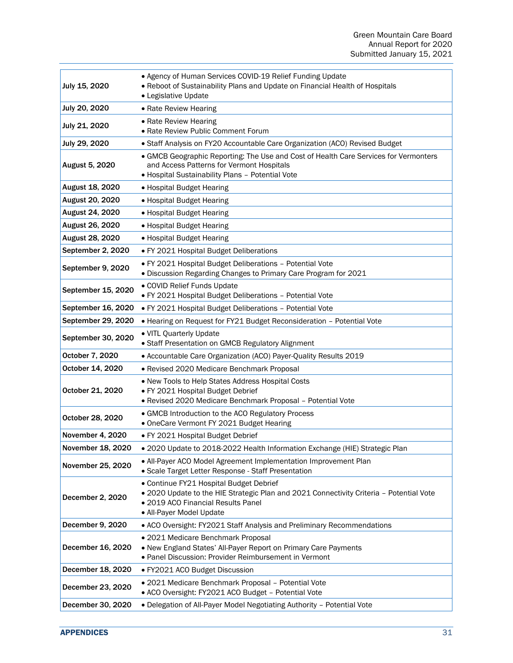| July 15, 2020         | • Agency of Human Services COVID-19 Relief Funding Update<br>. Reboot of Sustainability Plans and Update on Financial Health of Hospitals<br>• Legislative Update                                    |
|-----------------------|------------------------------------------------------------------------------------------------------------------------------------------------------------------------------------------------------|
| July 20, 2020         | • Rate Review Hearing                                                                                                                                                                                |
| July 21, 2020         | • Rate Review Hearing<br>• Rate Review Public Comment Forum                                                                                                                                          |
| July 29, 2020         | • Staff Analysis on FY20 Accountable Care Organization (ACO) Revised Budget                                                                                                                          |
| <b>August 5, 2020</b> | • GMCB Geographic Reporting: The Use and Cost of Health Care Services for Vermonters<br>and Access Patterns for Vermont Hospitals<br>· Hospital Sustainability Plans - Potential Vote                |
| August 18, 2020       | • Hospital Budget Hearing                                                                                                                                                                            |
| August 20, 2020       | • Hospital Budget Hearing                                                                                                                                                                            |
| August 24, 2020       | • Hospital Budget Hearing                                                                                                                                                                            |
| August 26, 2020       | • Hospital Budget Hearing                                                                                                                                                                            |
| August 28, 2020       | • Hospital Budget Hearing                                                                                                                                                                            |
| September 2, 2020     | • FY 2021 Hospital Budget Deliberations                                                                                                                                                              |
| September 9, 2020     | · FY 2021 Hospital Budget Deliberations - Potential Vote<br>. Discussion Regarding Changes to Primary Care Program for 2021                                                                          |
| September 15, 2020    | • COVID Relief Funds Update<br>· FY 2021 Hospital Budget Deliberations - Potential Vote                                                                                                              |
| September 16, 2020    | · FY 2021 Hospital Budget Deliberations - Potential Vote                                                                                                                                             |
| September 29, 2020    | • Hearing on Request for FY21 Budget Reconsideration - Potential Vote                                                                                                                                |
| September 30, 2020    | · VITL Quarterly Update<br>• Staff Presentation on GMCB Regulatory Alignment                                                                                                                         |
| October 7, 2020       | • Accountable Care Organization (ACO) Payer-Quality Results 2019                                                                                                                                     |
| October 14, 2020      | · Revised 2020 Medicare Benchmark Proposal                                                                                                                                                           |
| October 21, 2020      | . New Tools to Help States Address Hospital Costs<br>· FY 2021 Hospital Budget Debrief<br>· Revised 2020 Medicare Benchmark Proposal - Potential Vote                                                |
| October 28, 2020      | • GMCB Introduction to the ACO Regulatory Process<br>• OneCare Vermont FY 2021 Budget Hearing                                                                                                        |
| November 4, 2020      | · FY 2021 Hospital Budget Debrief                                                                                                                                                                    |
| November 18, 2020     | . 2020 Update to 2018-2022 Health Information Exchange (HIE) Strategic Plan                                                                                                                          |
| November 25, 2020     | • All-Payer ACO Model Agreement Implementation Improvement Plan<br>• Scale Target Letter Response - Staff Presentation                                                                               |
| December 2, 2020      | • Continue FY21 Hospital Budget Debrief<br>. 2020 Update to the HIE Strategic Plan and 2021 Connectivity Criteria - Potential Vote<br>• 2019 ACO Financial Results Panel<br>• All-Payer Model Update |
| December 9, 2020      | • ACO Oversight: FY2021 Staff Analysis and Preliminary Recommendations                                                                                                                               |
| December 16, 2020     | • 2021 Medicare Benchmark Proposal<br>. New England States' All-Payer Report on Primary Care Payments<br>• Panel Discussion: Provider Reimbursement in Vermont                                       |
| December 18, 2020     | • FY2021 ACO Budget Discussion                                                                                                                                                                       |
| December 23, 2020     | • 2021 Medicare Benchmark Proposal - Potential Vote<br>• ACO Oversight: FY2021 ACO Budget - Potential Vote                                                                                           |
| December 30, 2020     | . Delegation of All-Payer Model Negotiating Authority - Potential Vote                                                                                                                               |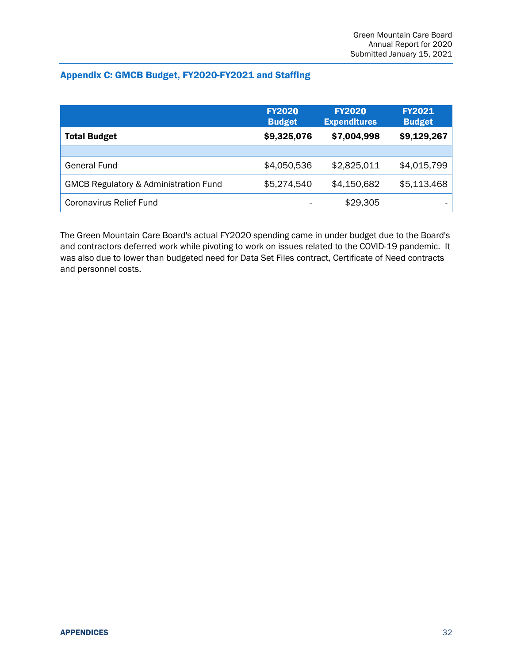#### <span id="page-31-0"></span>Appendix C: GMCB Budget, FY2020-FY2021 and Staffing

|                                                  | <b>FY2020</b><br><b>Budget</b> | <b>FY2020</b><br><b>Expenditures</b> | <b>FY2021</b><br><b>Budget</b> |
|--------------------------------------------------|--------------------------------|--------------------------------------|--------------------------------|
| <b>Total Budget</b>                              | \$9,325,076                    | \$7,004,998                          | \$9,129,267                    |
|                                                  |                                |                                      |                                |
| General Fund                                     | \$4,050,536                    | \$2,825,011                          | \$4,015,799                    |
| <b>GMCB Regulatory &amp; Administration Fund</b> | \$5,274,540                    | \$4,150,682                          | \$5,113,468                    |
| <b>Coronavirus Relief Fund</b>                   |                                | \$29,305                             |                                |

The Green Mountain Care Board's actual FY2020 spending came in under budget due to the Board's and contractors deferred work while pivoting to work on issues related to the COVID-19 pandemic. It was also due to lower than budgeted need for Data Set Files contract, Certificate of Need contracts and personnel costs.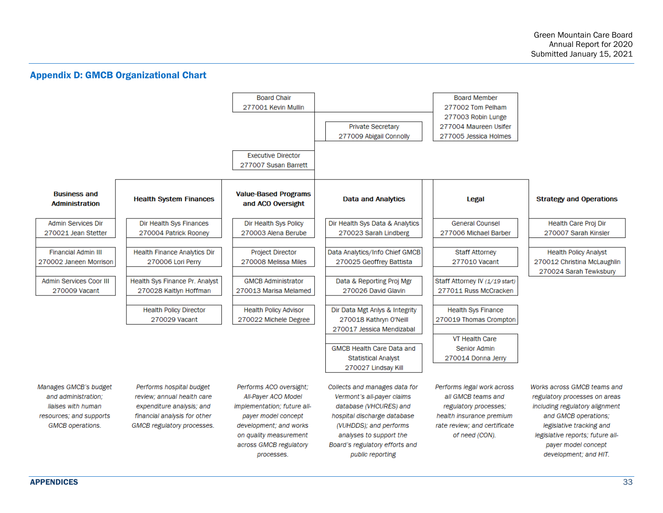#### Appendix D: GMCB Organizational Chart

<span id="page-32-0"></span>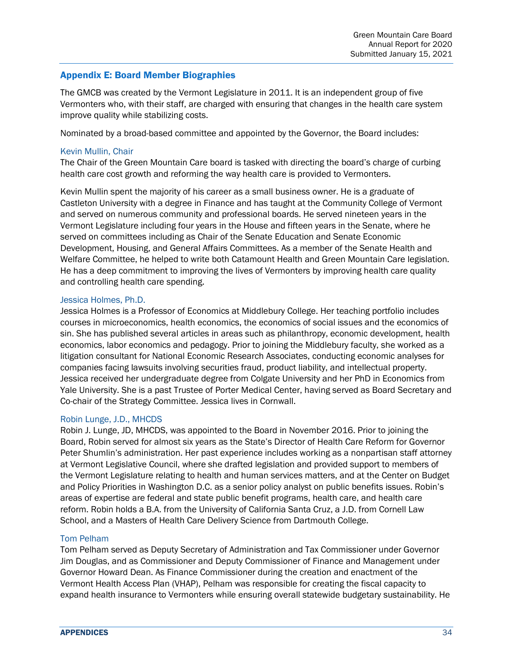#### <span id="page-33-0"></span>Appendix E: Board Member Biographies

The GMCB was created by the Vermont Legislature in 2011. It is an independent group of five Vermonters who, with their staff, are charged with ensuring that changes in the health care system improve quality while stabilizing costs.

Nominated by a broad-based committee and appointed by the Governor, the Board includes:

#### Kevin Mullin, Chair

The Chair of the Green Mountain Care board is tasked with directing the board's charge of curbing health care cost growth and reforming the way health care is provided to Vermonters.

Kevin Mullin spent the majority of his career as a small business owner. He is a graduate of Castleton University with a degree in Finance and has taught at the Community College of Vermont and served on numerous community and professional boards. He served nineteen years in the Vermont Legislature including four years in the House and fifteen years in the Senate, where he served on committees including as Chair of the Senate Education and Senate Economic Development, Housing, and General Affairs Committees. As a member of the Senate Health and Welfare Committee, he helped to write both Catamount Health and Green Mountain Care legislation. He has a deep commitment to improving the lives of Vermonters by improving health care quality and controlling health care spending.

#### Jessica Holmes, Ph.D.

Jessica Holmes is a Professor of Economics at Middlebury College. Her teaching portfolio includes courses in microeconomics, health economics, the economics of social issues and the economics of sin. She has published several articles in areas such as philanthropy, economic development, health economics, labor economics and pedagogy. Prior to joining the Middlebury faculty, she worked as a litigation consultant for National Economic Research Associates, conducting economic analyses for companies facing lawsuits involving securities fraud, product liability, and intellectual property. Jessica received her undergraduate degree from Colgate University and her PhD in Economics from Yale University. She is a past Trustee of Porter Medical Center, having served as Board Secretary and Co-chair of the Strategy Committee. Jessica lives in Cornwall.

#### Robin Lunge, J.D., MHCDS

Robin J. Lunge, JD, MHCDS, was appointed to the Board in November 2016. Prior to joining the Board, Robin served for almost six years as the State's Director of Health Care Reform for Governor Peter Shumlin's administration. Her past experience includes working as a nonpartisan staff attorney at Vermont Legislative Council, where she drafted legislation and provided support to members of the Vermont Legislature relating to health and human services matters, and at the Center on Budget and Policy Priorities in Washington D.C. as a senior policy analyst on public benefits issues. Robin's areas of expertise are federal and state public benefit programs, health care, and health care reform. Robin holds a B.A. from the University of California Santa Cruz, a J.D. from Cornell Law School, and a Masters of Health Care Delivery Science from Dartmouth College.

#### Tom Pelham

Tom Pelham served as Deputy Secretary of Administration and Tax Commissioner under Governor Jim Douglas, and as Commissioner and Deputy Commissioner of Finance and Management under Governor Howard Dean. As Finance Commissioner during the creation and enactment of the Vermont Health Access Plan (VHAP), Pelham was responsible for creating the fiscal capacity to expand health insurance to Vermonters while ensuring overall statewide budgetary sustainability. He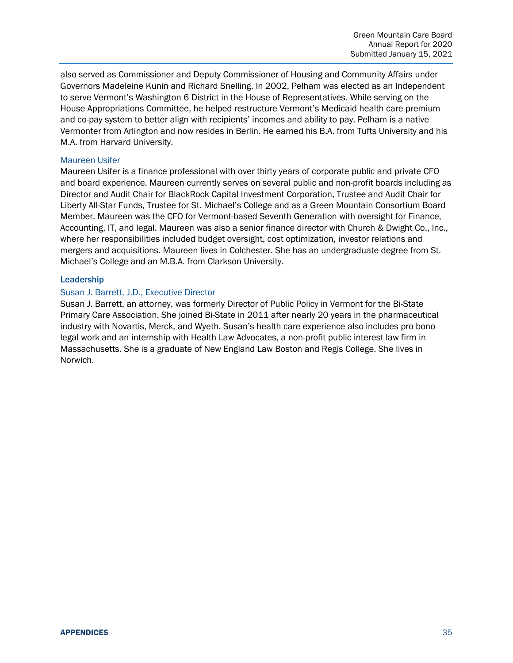also served as Commissioner and Deputy Commissioner of Housing and Community Affairs under Governors Madeleine Kunin and Richard Snelling. In 2002, Pelham was elected as an Independent to serve Vermont's Washington 6 District in the House of Representatives. While serving on the House Appropriations Committee, he helped restructure Vermont's Medicaid health care premium and co-pay system to better align with recipients' incomes and ability to pay. Pelham is a native Vermonter from Arlington and now resides in Berlin. He earned his B.A. from Tufts University and his M.A. from Harvard University.

#### Maureen Usifer

Maureen Usifer is a finance professional with over thirty years of corporate public and private CFO and board experience. Maureen currently serves on several public and non-profit boards including as Director and Audit Chair for BlackRock Capital Investment Corporation, Trustee and Audit Chair for Liberty All-Star Funds, Trustee for St. Michael's College and as a Green Mountain Consortium Board Member. Maureen was the CFO for Vermont-based Seventh Generation with oversight for Finance, Accounting, IT, and legal. Maureen was also a senior finance director with Church & Dwight Co., Inc., where her responsibilities included budget oversight, cost optimization, investor relations and mergers and acquisitions. Maureen lives in Colchester. She has an undergraduate degree from St. Michael's College and an M.B.A. from Clarkson University.

#### Leadership

#### Susan J. Barrett, J.D., Executive Director

Susan J. Barrett, an attorney, was formerly Director of Public Policy in Vermont for the Bi-State Primary Care Association. She joined Bi-State in 2011 after nearly 20 years in the pharmaceutical industry with Novartis, Merck, and Wyeth. Susan's health care experience also includes pro bono legal work and an internship with Health Law Advocates, a non-profit public interest law firm in Massachusetts. She is a graduate of New England Law Boston and Regis College. She lives in Norwich.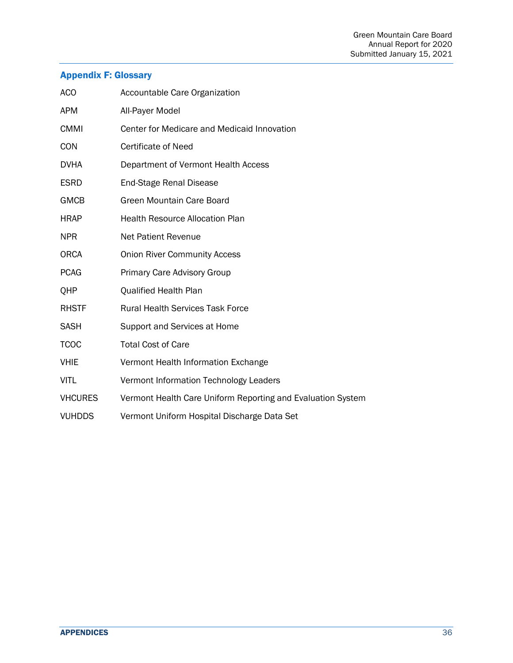# <span id="page-35-0"></span>Appendix F: Glossary

| <b>ACO</b>     | Accountable Care Organization                               |
|----------------|-------------------------------------------------------------|
| <b>APM</b>     | All-Payer Model                                             |
| <b>CMMI</b>    | Center for Medicare and Medicaid Innovation                 |
| <b>CON</b>     | <b>Certificate of Need</b>                                  |
| <b>DVHA</b>    | Department of Vermont Health Access                         |
| <b>ESRD</b>    | <b>End-Stage Renal Disease</b>                              |
| <b>GMCB</b>    | Green Mountain Care Board                                   |
| <b>HRAP</b>    | <b>Health Resource Allocation Plan</b>                      |
| <b>NPR</b>     | <b>Net Patient Revenue</b>                                  |
| <b>ORCA</b>    | <b>Onion River Community Access</b>                         |
| <b>PCAG</b>    | Primary Care Advisory Group                                 |
| QHP            | Qualified Health Plan                                       |
| <b>RHSTF</b>   | <b>Rural Health Services Task Force</b>                     |
| <b>SASH</b>    | Support and Services at Home                                |
| <b>TCOC</b>    | <b>Total Cost of Care</b>                                   |
| <b>VHIE</b>    | Vermont Health Information Exchange                         |
| <b>VITL</b>    | Vermont Information Technology Leaders                      |
| <b>VHCURES</b> | Vermont Health Care Uniform Reporting and Evaluation System |
| <b>VUHDDS</b>  | Vermont Uniform Hospital Discharge Data Set                 |